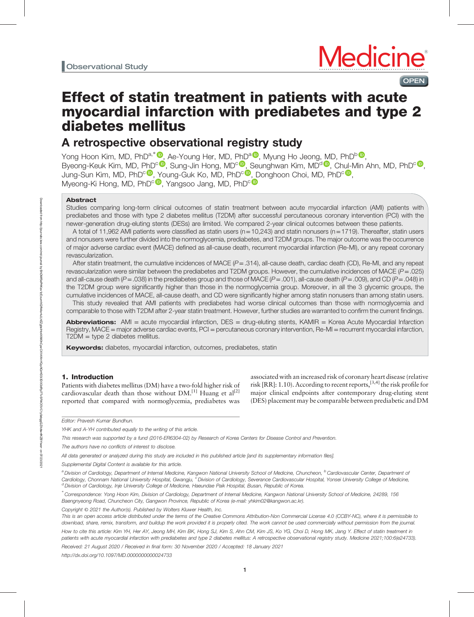# Effect of statin treatment in patients with acute myocardial infarction with prediabetes and type 2 diabetes mellitus

# A retrospective observational registry study

Yong Hoon Kim[,](https://orcid.org/0000-0003-2493-066X) MD, [PhD](https://orcid.org/0000-0003-4893-039X)<sup>[a](https://orcid.org/0000-0002-9990-6843),\*</sup> , Ae-Young Her, [M](https://orcid.org/0000-0001-6783-3849)D, PhD<sup>a ,</sup> Myung Ho Jeong, MD, PhD<sup>b ,</sup> Byeong-Keuk Kim, MD, [PhD](https://orcid.org/0000-0003-2263-3274)<sup>c (D</sup>[, S](https://orcid.org/0000-0001-7748-5788)ung-Jin Hong, MD<sup>c (D</sup>, Seunghwan Kim, MD<sup>d (D</sup>, Ch[ul-](https://orcid.org/0000-0002-2009-9760)Min Ahn, MD, PhD<sup>[c](https://orcid.org/0000-0002-7071-4370) (D</sup>, Jung-Sun Kim, MD, PhD<sup>c (D</sup>[, Y](https://orcid.org/0000-0002-2090-2031)oung-Guk Ko, MD, PhD<sup>c (D</sup>[, D](https://orcid.org/0000-0002-2169-3112)onghoon Choi, MD, PhD<sup>c (D</sup>, Myeong-Ki Hong, MD, PhD<sup>c (D</sup>, Yangsoo Jang, MD, PhD<sup>c (D</sup>

# Abstract

Studies comparing long-term clinical outcomes of statin treatment between acute myocardial infarction (AMI) patients with prediabetes and those with type 2 diabetes mellitus (T2DM) after successful percutaneous coronary intervention (PCI) with the newer-generation drug-eluting stents (DESs) are limited. We compared 2-year clinical outcomes between these patients.

A total of 11,962 AMI patients were classified as statin users ( $n=10,243$ ) and statin nonusers ( $n=1719$ ). Thereafter, statin users and nonusers were further divided into the normoglycemia, prediabetes, and T2DM groups. The major outcome was the occurrence of major adverse cardiac event (MACE) defined as all-cause death, recurrent myocardial infarction (Re-MI), or any repeat coronary revascularization.

After statin treatment, the cumulative incidences of MACE  $(P=.314)$ , all-cause death, cardiac death (CD), Re-MI, and any repeat revascularization were similar between the prediabetes and T2DM groups. However, the cumulative incidences of MACE  $(P = .025)$ and all-cause death ( $P = .038$ ) in the prediabetes group and those of MACE ( $P = .001$ ), all-cause death ( $P = .009$ ), and CD ( $P = .048$ ) in the T2DM group were significantly higher than those in the normoglycemia group. Moreover, in all the 3 glycemic groups, the cumulative incidences of MACE, all-cause death, and CD were significantly higher among statin nonusers than among statin users.

This study revealed that AMI patients with prediabetes had worse clinical outcomes than those with normoglycemia and comparable to those with T2DM after 2-year statin treatment. However, further studies are warranted to confirm the current findings.

Abbreviations: AMI = acute myocardial infarction, DES = drug-eluting stents, KAMIR = Korea Acute Myocardial Infarction Registry, MACE = major adverse cardiac events, PCI = percutaneous coronary intervention, Re-MI = recurrent myocardial infarction,  $T2DM = type 2$  diabetes mellitus.

**Keywords:** diabetes, myocardial infarction, outcomes, prediabetes, statin

# 1. Introduction

Patients with diabetes mellitus (DM) have a two-fold higher risk of cardiovascular death than those without  $DM<sup>[1]</sup>$  Huang et al<sup>[2]</sup> reported that compared with normoglycemia, prediabetes was associated with an increased risk of coronary heart disease (relative risk [RR]: 1.10). According to recent reports,  $[3,4]$  the risk profile for major clinical endpoints after contemporary drug-eluting stent (DES) placement may be comparable between prediabetic and DM

**OPEN** 

Copyright © 2021 the Author(s). Published by Wolters Kluwer Health, Inc.

Received: 21 August 2020 / Received in final form: 30 November 2020 / Accepted: 18 January 2021

<http://dx.doi.org/10.1097/MD.0000000000024733>

Editor: Pravesh Kumar Bundhun.

YHK and A-YH contributed equally to the writing of this article.

This research was supported by a fund (2016-ER6304-02) by Research of Korea Centers for Disease Control and Prevention.

The authors have no conflicts of interest to disclose.

All data generated or analyzed during this study are included in this published article [and its supplementary information files].

Supplemental Digital Content is available for this article.

<sup>&</sup>lt;sup>a</sup> Division of Cardiology, Department of Internal Medicine, Kangwon National University School of Medicine, Chuncheon, <sup>b</sup> Cardiovascular Center, Department of Cardiology, Chonnam National University Hospital, Gwangju, <sup>c</sup> Division of Cardiology, Severance Cardiovascular Hospital, Yonsei University College of Medicine, <sup>d</sup> Division of Cardiology, Inje University College of Medicine, Haeundae Paik Hospital, Busan, Republic of Korea.

<sup>∗</sup> Correspondence: Yong Hoon Kim, Division of Cardiology, Department of Internal Medicine, Kangwon National University School of Medicine, 24289, 156 Baengnyeong Road, Chuncheon City, Gangwon Province, Republic of Korea (e-mail: [yhkim02@kangwon.ac.kr\)](mailto:yhkim02@kangwon.ac.kr).

This is an open access article distributed under the terms of the [Creative Commons Attribution-Non Commercial License 4.0](http://creativecommons.org/licenses/by-nc/4.0) (CCBY-NC), where it is permissible to download, share, remix, transform, and buildup the work provided it is properly cited. The work cannot be used commercially without permission from the journal.

How to cite this article: Kim YH, Her AY, Jeong MH, Kim BK, Hong SJ, Kim S, Ahn CM, Kim JS, Ko YG, Choi D, Hong MK, Jang Y. Effect of statin treatment in patients with acute myocardial infarction with prediabetes and type 2 diabetes mellitus: A retrospective observational registry study. Medicine 2021:100:6(e24733).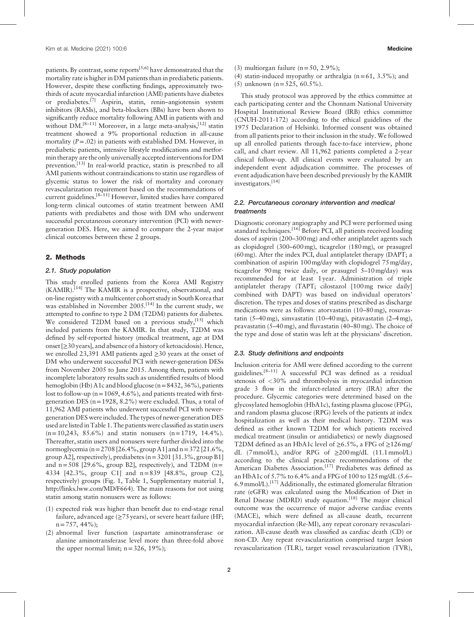patients. By contrast, some reports<sup>[5,6]</sup> have demonstrated that the mortality rate is higher in DM patients than in prediabetic patients. However, despite these conflicting findings, approximately twothirds of acute myocardial infarction (AMI) patients have diabetes or prediabetes.[7] Aspirin, statin, renin–angiotensin system inhibitors (RASIs), and beta-blockers (BBs) have been shown to significantly reduce mortality following AMI in patients with and without  $DM^{[8-11]}$  Moreover, in a large meta-analysis, [12] statin treatment showed a 9% proportional reduction in all-cause mortality  $(P=.02)$  in patients with established DM. However, in prediabetic patients, intensive lifestyle modifications and metformin therapy are the only universally accepted interventions for DM prevention.<sup>[13]</sup> In real-world practice, statin is prescribed to all AMI patients without contraindications to statin use regardless of glycemic status to lower the risk of mortality and coronary revascularization requirement based on the recommendations of current guidelines.[8–11] However, limited studies have compared long-term clinical outcomes of statin treatment between AMI patients with prediabetes and those with DM who underwent successful percutaneous coronary intervention (PCI) with newergeneration DES. Here, we aimed to compare the 2-year major clinical outcomes between these 2 groups.

### 2. Methods

# 2.1. Study population

This study enrolled patients from the Korea AMI Registry (KAMIR).<sup>[14]</sup> The KAMIR is a prospective, observational, and on-line registry with a multicenter cohort study in South Korea that was established in November 2005.<sup>[14]</sup> In the current study, we attempted to confine to type 2 DM (T2DM) patients for diabetes. We considered T2DM based on a previous study,<sup>[15]</sup> which included patients from the KAMIR. In that study, T2DM was defined by self-reported history (medical treatment, age at DM onset [≥30 years], and absence of a history of ketoacidosis). Hence, we enrolled 23,391 AMI patients aged ≥30 years at the onset of DM who underwent successful PCI with newer-generation DESs from November 2005 to June 2015. Among them, patients with incomplete laboratory results such as unidentified results of blood hemoglobin (Hb) A1c and blood glucose (n = 8432, 36%), patients lost to follow-up ( $n=1069, 4.6\%$ ), and patients treated with firstgeneration DES ( $n=1928$ , 8.2%) were excluded. Thus, a total of 11,962 AMI patients who underwent successful PCI with newergeneration DES were included. The types of newer-generation DES used are listed in Table 1. The patients were classified as statin users  $(n=10,243, 85.6\%)$  and statin nonusers  $(n=1719, 14.4\%).$ Thereafter, statin users and nonusers were further divided into the normoglycemia (n=2708 [26.4%, group A1] and n=372 [21.6%, group A2], respectively), prediabetes  $(n=3201 \, [31.3\%, \text{group B1}]$ and  $n=508$  [29.6%, group B2], respectively), and T2DM ( $n=$ 4334 [42.3%, group C1] and n=839 [48.8%, group C2], respectively) groups (Fig. 1, Table 1, Supplementary material 1, <http://links.lww.com/MD/F664>). The main reasons for not using statin among statin nonusers were as follows:

- (1) expected risk was higher than benefit due to end-stage renal failure, advanced age  $(\geq 75$  years), or severe heart failure (HF;  $n=757, 44\%);$
- (2) abnormal liver function (aspartate aminotransferase or alanine aminotransferase level more than three-fold above the upper normal limit;  $n=326$ ,  $19\%$ );
- (3) multiorgan failure  $(n=50, 2.9\%)$ ;
- (4) statin-induced myopathy or arthralgia ( $n=61$ ,  $3.5\%$ ); and
- (5) unknown  $(n=525, 60.5\%)$ .

This study protocol was approved by the ethics committee at each participating center and the Chonnam National University Hospital Institutional Review Board (IRB) ethics committee (CNUH-2011-172) according to the ethical guidelines of the 1975 Declaration of Helsinki. Informed consent was obtained from all patients prior to their inclusion in the study. We followed up all enrolled patients through face-to-face interview, phone call, and chart review. All 11,962 patients completed a 2-year clinical follow-up. All clinical events were evaluated by an independent event adjudication committee. The processes of event adjudication have been described previously by the KAMIR investigators.[14]

# 2.2. Percutaneous coronary intervention and medical treatments

Diagnostic coronary angiography and PCI were performed using standard techniques.<sup>[16]</sup> Before PCI, all patients received loading doses of aspirin (200–300mg) and other antiplatelet agents such as clopidogrel (300–600mg), ticagrelor (180mg), or prasugrel (60mg). After the index PCI, dual antiplatelet therapy (DAPT; a combination of aspirin 100mg/day with clopidogrel 75mg/day, ticagrelor 90mg twice daily, or prasugrel 5–10mg/day) was recommended for at least 1 year. Administration of triple antiplatelet therapy (TAPT; cilostazol [100mg twice daily] combined with DAPT) was based on individual operators' discretion. The types and doses of statins prescribed as discharge medications were as follows: atorvastatin (10–80mg), rosuvastatin (5–40mg), simvastatin (10–40mg), pitavastatin (2–4mg), pravastatin (5–40mg), and fluvastatin (40–80mg). The choice of the type and dose of statin was left at the physicians' discretion.

# 2.3. Study definitions and endpoints

Inclusion criteria for AMI were defined according to the current guidelines.[8–11] A successful PCI was defined as a residual stenosis of <30% and thrombolysis in myocardial infarction grade 3 flow in the infarct-related artery (IRA) after the procedure. Glycemic categories were determined based on the glycosylated hemoglobin (HbA1c), fasting plasma glucose (FPG), and random plasma glucose (RPG) levels of the patients at index hospitalization as well as their medical history. T2DM was defined as either known T2DM for which patients received medical treatment (insulin or antidiabetics) or newly diagnosed T2DM defined as an HbA1c level of  $\geq$ 6.5%, a FPG of  $\geq$ 126 mg/ dL (7mmol/L), and/or RPG of  $\geq$ 200mg/dL (11.1mmol/L) according to the clinical practice recommendations of the American Diabetes Association.<sup>[17]</sup> Prediabetes was defined as an HbA1c of 5.7% to 6.4% and a FPG of 100 to 125mg/dL (5.6– 6.9mmol/L).[17] Additionally, the estimated glomerular filtration rate (eGFR) was calculated using the Modification of Diet in Renal Disease (MDRD) study equation.<sup>[18]</sup> The major clinical outcome was the occurrence of major adverse cardiac events (MACE), which were defined as all-cause death, recurrent myocardial infarction (Re-MI), any repeat coronary revascularization. All-cause death was classified as cardiac death (CD) or non-CD. Any repeat revascularization comprised target lesion revascularization (TLR), target vessel revascularization (TVR),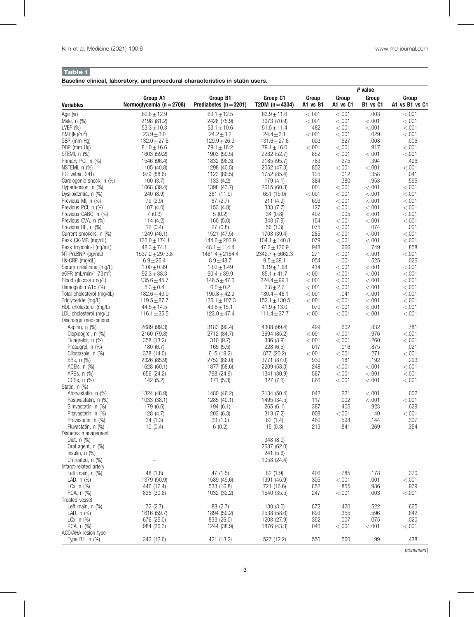# Table 1

# Baseline clinical, laboratory, and procedural characteristics in statin users.

| Group<br>Group A1<br>Group B1<br>Group C1<br>Group<br>Group<br>Group<br>A1 vs B1 vs C1<br>Normoglycemia ( $n = 2708$ )<br>Prediabetes ( $n = 3201$ )<br>T2DM $(n=4334)$<br>A1 vs B1<br>A1 vs C1<br>B1 vs C1<br><b>Variables</b><br>.003<br>$60.8 \pm 12.9$<br>$63.1 \pm 12.5$<br>$63.9 \pm 11.6$<br>< .001<br>< .001<br>< .001<br>Age (yr)<br>2198 (81.2)<br>3073 (70.9)<br>< .001<br>< .001<br>< 0.001<br>< .001<br>2428 (75.9)<br>.482<br>< .001<br>< .001<br>$53.3 \pm 10.3$<br>$53.1 \pm 10.6$<br>$51.5 \pm 11.4$<br>< .001<br>.029<br>$23.9 \pm 3.0$<br>$24.2 \pm 3.2$<br>$24.4 \pm 3.1$<br>< .001<br>< .001<br>< .001<br>.527<br>.003<br>.008<br>.006<br>$132.0 \pm 27.6$<br>$129.9 \pm 26.9$<br>$131.6 \pm 27.6$<br>$79.1 \pm 16.0$<br>< .001<br>< .001<br>.917<br>< .001<br>DBP (mm Hg)<br>$81.0 \pm 16.6$<br>$79.1 \pm 16.2$<br>STEMI, n (%)<br>1603 (59.2)<br>1903 (59.5)<br>2282 (52.7)<br>.852<br>< 0.001<br>< 0.001<br>< .001<br>Primary PCI, n (%)<br>1546 (96.4)<br>1832 (96.3)<br>2185 (95.7)<br>.783<br>.275<br>.394<br>.496<br>.852<br>< .001<br>< .001<br>NSTEMI, n (%)<br>1105 (40.8)<br>1298 (40.5)<br>2052 (47.3)<br>< .001<br>.125<br>.012<br>.358<br>PCI within 24h<br>979 (88.6)<br>1123 (86.5)<br>1752 (85.4)<br>.041<br>.384<br>.380<br>.953<br>.595<br>100(3.7)<br>133(4.2)<br>179(4.1)<br>Cardiogenic shock, n (%)<br>.001<br>1068 (39.4)<br>1398 (43.7)<br>2615 (60.3)<br>< .001<br>< 0.001<br>< .001<br>Hypertension, n (%)<br>< .001<br>< .001<br>< 0.001<br>Dyslipidemia, n (%)<br>240 (8.9)<br>381 (11.9)<br>651 (15.0)<br>< 0.001<br>79 (2.9)<br>87(2.7)<br>.693<br>< 0.001<br>< 0.001<br>< 0.001<br>Previous MI, n (%)<br>211(4.9)<br>153 (4.8)<br>.127<br>< .001<br>< 0.001<br>Previous PCI, n (%)<br>107(4.0)<br>333 (7.7)<br>< 0.001<br>Previous CABG, n (%)<br>7(0.3)<br>5(0.2)<br>34(0.8)<br>.402<br>.005<br>< 0.001<br>< 0.001<br>Previous CVA, n (%)<br>160(5.0)<br>343 (7.9)<br>.154<br>< .001<br>< 0.001<br>< 0.001<br>114 $(4.2)$<br>.074<br>.001<br>Previous HF, n (%)<br>12(0.4)<br>27(0.8)<br>56(1.3)<br>.075<br>< .001<br>1249 (46.1)<br>1521 (47.5)<br>1708 (39.4)<br>.285<br>< .001<br>< 0.001<br>< .001<br>Current smokers, n (%)<br>Peak CK-MB (mg/dL)<br>$136.0 \pm 174.1$<br>$144.6 \pm 203.9$<br>$104.1 \pm 140.8$<br>.079<br>< .001<br>< 0.001<br>< .001<br>.749<br>$48.3 \pm 74.1$<br>$47.2 \pm 136.9$<br>.948<br>.666<br>.858<br>Peak troponin-1 (ng/mL)<br>$48.1 \pm 114.4$<br>.271<br>< .001<br>< .001<br>$1537.2 \pm 2973.8$<br>$2342.7 + 5662.3$<br>< .001<br>NT-ProBNP (pg/mL)<br>$1461.4 \pm 2164.4$<br>Hs-CRP (mg/dL)<br>.525<br>$6.9 \pm 26.4$<br>$8.9 \pm 48.7$<br>$9.5 \pm 39.1$<br>.054<br>.001<br>.026<br>$1.00 \pm 0.99$<br>$1.19 \pm 1.68$<br>.414<br>< .001<br>< .001<br>< .001<br>Serum creatinine (mg/L)<br>$1.03 \pm 1.49$<br>eGFR $(mL/min/1.73 m2)$<br>$92.3 \pm 38.3$<br>$90.4 \pm 39.9$<br>$85.1 \pm 41.7$<br>< .001<br>< 0.001<br>< 0.001<br>< 0.001<br>$135.6 \pm 45.7$<br>$146.5 \pm 47.6$<br>$224.4 \pm 99.1$<br>< .001<br>< .001<br>< .001<br>< .001<br>Blood glucose (mg/L)<br>$5.3 \pm 0.4$<br>$6.0 \pm 0.2$<br>$7.8 \pm 2.7$<br>< .001<br>< .001<br>< .001<br>< .001<br>$182.6 \pm 40.0$<br>$190.8 \pm 42.9$<br>$180.4 \pm 48.1$<br>< .001<br>.041<br>< 0.001<br>< .001<br>Total cholesterol (mg/dL)<br>$119.5 \pm 87.7$<br>$152.1 \pm 130.5$<br>< .001<br>< .001<br>< 0.001<br>< .001<br>Triglyceride (mg/L)<br>$135.1 \pm 107.3$<br>.070<br>HDL cholesterol (mg/L)<br>$44.5 \pm 14.5$<br>$41.9 \pm 13.0$<br>< .001<br>< 0.001<br>< 0.001<br>$43.8 \pm 15.1$<br>< .001<br>< .001<br>< 0.001<br>LDL cholesterol (mg/L)<br>$116.1 \pm 35.5$<br>$123.0 \pm 47.4$<br>111.4 $\pm$ 37.7<br>< 0.001<br>Discharge medications<br>2689 (99.3)<br>.499<br>.602<br>.832<br>.781<br>Aspirin, n (%)<br>3183 (99.4)<br>4308 (99.4)<br>.976<br>Clopidogrel, n (%)<br>2160 (79.8)<br>2712 (84.7)<br>3694 (85.2)<br>< .001<br>< .001<br>< 0.001<br>358 (13.2)<br>386 (8.9)<br>< .001<br>< .001<br>.260<br>< .001<br>Ticagrelor, n (%)<br>310(9.7)<br>.875<br>Prasugrel, n (%)<br>180 (6.7)<br>165(5.5)<br>228(6.5)<br>.017<br>.016<br>.021<br>.271<br>Cilostazole, n (%)<br>378 (14.0)<br>615 (19.2)<br>877 (20.2)<br>< .001<br>< .001<br>< .001<br>.293<br>BBs, n (%)<br>2326 (85.9)<br>2752 (86.0)<br>3771 (87.0)<br>.930<br>.181<br>.192<br>ACEIs, n (%)<br>1877 (58.6)<br>2209 (53.3)<br>.248<br>< .001<br>< 0.001<br>< .001<br>1628 (60.1)<br>656 (24.2)<br>798 (24.9)<br>1341 (30.9)<br>.567<br>< .001<br>< 0.001<br>< 0.001<br>ARBs, n (%)<br>CCBs, n (%)<br>171(5.3)<br>327(7.5)<br>< .001<br>< .001<br>< 0.001<br>142 (5.2)<br>.866<br>.042<br>.221<br>< 0.001<br>.002<br>Atorvastatin, n (%)<br>1324 (48.9)<br>1480 (46.2)<br>2184 (50.4)<br>1033 (38.1)<br>1495 (34.5)<br>.117<br>.002<br>< .001<br>< .001<br>Rosuvastatin, n (%)<br>1285 (40.1)<br>.923<br>.629<br>179 (6.6)<br>194(6.1)<br>265(6.1)<br>.387<br>.405<br>Simvastatin, n (%)<br>313 (7.2)<br>.008<br>< .001<br>< .001<br>Pitavastatin, n (%)<br>128(4.7)<br>203 (6.3)<br>.140<br>.307<br>33(1.0)<br>.460<br>.598<br>.144<br>Pravastatin, n (%)<br>34(1.3)<br>62(1.4)<br>.269<br>10(0.4)<br>6(0.2)<br>15(0.3)<br>.213<br>.841<br>.354<br>Fluvastatin, n (%)<br>Diabetes management<br>Diet, n (%)<br>348 (8.0)<br>Oral agent, n (%)<br>2687 (62.0)<br>241(5.6)<br>Insulin, $n$ $(\%)$<br>Untreated, n (%)<br>1058 (24.4)<br>Infarct-related artery<br>47 (1.5)<br>82 (1.9)<br>.785<br>.178<br>.370<br>Left main, n (%)<br>48 (1.8)<br>.406<br>.001<br>1379 (50.9)<br>1589 (49.6)<br>1991 (45.9)<br>.305<br>< .001<br>< .001<br>LAD, $n$ $\%$<br>.855<br>.986<br>.979<br>LCx, $n$ $(\%)$<br>446 (17.4)<br>533 (16.8)<br>721 (16.6)<br>.852<br>RCA, n (%)<br>< .001<br>< .001<br>835 (30.8)<br>1032 (32.2)<br>1540 (35.5)<br>.247<br>.003<br>Treated vessel<br>Left main, n (%)<br>72 (2.7)<br>.872<br>.420<br>.522<br>.665<br>88 (2.7)<br>130(3.0) |                    |             |             |             |      | P value |      |      |  |
|------------------------------------------------------------------------------------------------------------------------------------------------------------------------------------------------------------------------------------------------------------------------------------------------------------------------------------------------------------------------------------------------------------------------------------------------------------------------------------------------------------------------------------------------------------------------------------------------------------------------------------------------------------------------------------------------------------------------------------------------------------------------------------------------------------------------------------------------------------------------------------------------------------------------------------------------------------------------------------------------------------------------------------------------------------------------------------------------------------------------------------------------------------------------------------------------------------------------------------------------------------------------------------------------------------------------------------------------------------------------------------------------------------------------------------------------------------------------------------------------------------------------------------------------------------------------------------------------------------------------------------------------------------------------------------------------------------------------------------------------------------------------------------------------------------------------------------------------------------------------------------------------------------------------------------------------------------------------------------------------------------------------------------------------------------------------------------------------------------------------------------------------------------------------------------------------------------------------------------------------------------------------------------------------------------------------------------------------------------------------------------------------------------------------------------------------------------------------------------------------------------------------------------------------------------------------------------------------------------------------------------------------------------------------------------------------------------------------------------------------------------------------------------------------------------------------------------------------------------------------------------------------------------------------------------------------------------------------------------------------------------------------------------------------------------------------------------------------------------------------------------------------------------------------------------------------------------------------------------------------------------------------------------------------------------------------------------------------------------------------------------------------------------------------------------------------------------------------------------------------------------------------------------------------------------------------------------------------------------------------------------------------------------------------------------------------------------------------------------------------------------------------------------------------------------------------------------------------------------------------------------------------------------------------------------------------------------------------------------------------------------------------------------------------------------------------------------------------------------------------------------------------------------------------------------------------------------------------------------------------------------------------------------------------------------------------------------------------------------------------------------------------------------------------------------------------------------------------------------------------------------------------------------------------------------------------------------------------------------------------------------------------------------------------------------------------------------------------------------------------------------------------------------------------------------------------------------------------------------------------------------------------------------------------------------------------------------------------------------------------------------------------------------------------------------------------------------------------------------------------------------------------------------------------------------------------------------------------------------------------------------------------------------------------------------------------------------------------------------------------------------------------------------------------------------------------------------------------------------------------------------------------------------------------------------------------------------------------------------------------------------------------------------------------------------------------------------------------------------------------------------------------------------------------------------------------------------------------------------------------------------------------------|--------------------|-------------|-------------|-------------|------|---------|------|------|--|
|                                                                                                                                                                                                                                                                                                                                                                                                                                                                                                                                                                                                                                                                                                                                                                                                                                                                                                                                                                                                                                                                                                                                                                                                                                                                                                                                                                                                                                                                                                                                                                                                                                                                                                                                                                                                                                                                                                                                                                                                                                                                                                                                                                                                                                                                                                                                                                                                                                                                                                                                                                                                                                                                                                                                                                                                                                                                                                                                                                                                                                                                                                                                                                                                                                                                                                                                                                                                                                                                                                                                                                                                                                                                                                                                                                                                                                                                                                                                                                                                                                                                                                                                                                                                                                                                                                                                                                                                                                                                                                                                                                                                                                                                                                                                                                                                                                                                                                                                                                                                                                                                                                                                                                                                                                                                                                                                                                                                                                                                                                                                                                                                                                                                                                                                                                                                                                                                                                      |                    |             |             |             |      |         |      |      |  |
|                                                                                                                                                                                                                                                                                                                                                                                                                                                                                                                                                                                                                                                                                                                                                                                                                                                                                                                                                                                                                                                                                                                                                                                                                                                                                                                                                                                                                                                                                                                                                                                                                                                                                                                                                                                                                                                                                                                                                                                                                                                                                                                                                                                                                                                                                                                                                                                                                                                                                                                                                                                                                                                                                                                                                                                                                                                                                                                                                                                                                                                                                                                                                                                                                                                                                                                                                                                                                                                                                                                                                                                                                                                                                                                                                                                                                                                                                                                                                                                                                                                                                                                                                                                                                                                                                                                                                                                                                                                                                                                                                                                                                                                                                                                                                                                                                                                                                                                                                                                                                                                                                                                                                                                                                                                                                                                                                                                                                                                                                                                                                                                                                                                                                                                                                                                                                                                                                                      |                    |             |             |             |      |         |      |      |  |
|                                                                                                                                                                                                                                                                                                                                                                                                                                                                                                                                                                                                                                                                                                                                                                                                                                                                                                                                                                                                                                                                                                                                                                                                                                                                                                                                                                                                                                                                                                                                                                                                                                                                                                                                                                                                                                                                                                                                                                                                                                                                                                                                                                                                                                                                                                                                                                                                                                                                                                                                                                                                                                                                                                                                                                                                                                                                                                                                                                                                                                                                                                                                                                                                                                                                                                                                                                                                                                                                                                                                                                                                                                                                                                                                                                                                                                                                                                                                                                                                                                                                                                                                                                                                                                                                                                                                                                                                                                                                                                                                                                                                                                                                                                                                                                                                                                                                                                                                                                                                                                                                                                                                                                                                                                                                                                                                                                                                                                                                                                                                                                                                                                                                                                                                                                                                                                                                                                      | Male, n (%)        |             |             |             |      |         |      |      |  |
|                                                                                                                                                                                                                                                                                                                                                                                                                                                                                                                                                                                                                                                                                                                                                                                                                                                                                                                                                                                                                                                                                                                                                                                                                                                                                                                                                                                                                                                                                                                                                                                                                                                                                                                                                                                                                                                                                                                                                                                                                                                                                                                                                                                                                                                                                                                                                                                                                                                                                                                                                                                                                                                                                                                                                                                                                                                                                                                                                                                                                                                                                                                                                                                                                                                                                                                                                                                                                                                                                                                                                                                                                                                                                                                                                                                                                                                                                                                                                                                                                                                                                                                                                                                                                                                                                                                                                                                                                                                                                                                                                                                                                                                                                                                                                                                                                                                                                                                                                                                                                                                                                                                                                                                                                                                                                                                                                                                                                                                                                                                                                                                                                                                                                                                                                                                                                                                                                                      | LVEF $(%)$         |             |             |             |      |         |      |      |  |
|                                                                                                                                                                                                                                                                                                                                                                                                                                                                                                                                                                                                                                                                                                                                                                                                                                                                                                                                                                                                                                                                                                                                                                                                                                                                                                                                                                                                                                                                                                                                                                                                                                                                                                                                                                                                                                                                                                                                                                                                                                                                                                                                                                                                                                                                                                                                                                                                                                                                                                                                                                                                                                                                                                                                                                                                                                                                                                                                                                                                                                                                                                                                                                                                                                                                                                                                                                                                                                                                                                                                                                                                                                                                                                                                                                                                                                                                                                                                                                                                                                                                                                                                                                                                                                                                                                                                                                                                                                                                                                                                                                                                                                                                                                                                                                                                                                                                                                                                                                                                                                                                                                                                                                                                                                                                                                                                                                                                                                                                                                                                                                                                                                                                                                                                                                                                                                                                                                      | BMI ( $kg/m2$ )    |             |             |             |      |         |      |      |  |
|                                                                                                                                                                                                                                                                                                                                                                                                                                                                                                                                                                                                                                                                                                                                                                                                                                                                                                                                                                                                                                                                                                                                                                                                                                                                                                                                                                                                                                                                                                                                                                                                                                                                                                                                                                                                                                                                                                                                                                                                                                                                                                                                                                                                                                                                                                                                                                                                                                                                                                                                                                                                                                                                                                                                                                                                                                                                                                                                                                                                                                                                                                                                                                                                                                                                                                                                                                                                                                                                                                                                                                                                                                                                                                                                                                                                                                                                                                                                                                                                                                                                                                                                                                                                                                                                                                                                                                                                                                                                                                                                                                                                                                                                                                                                                                                                                                                                                                                                                                                                                                                                                                                                                                                                                                                                                                                                                                                                                                                                                                                                                                                                                                                                                                                                                                                                                                                                                                      | SBP (mm Hg)        |             |             |             |      |         |      |      |  |
|                                                                                                                                                                                                                                                                                                                                                                                                                                                                                                                                                                                                                                                                                                                                                                                                                                                                                                                                                                                                                                                                                                                                                                                                                                                                                                                                                                                                                                                                                                                                                                                                                                                                                                                                                                                                                                                                                                                                                                                                                                                                                                                                                                                                                                                                                                                                                                                                                                                                                                                                                                                                                                                                                                                                                                                                                                                                                                                                                                                                                                                                                                                                                                                                                                                                                                                                                                                                                                                                                                                                                                                                                                                                                                                                                                                                                                                                                                                                                                                                                                                                                                                                                                                                                                                                                                                                                                                                                                                                                                                                                                                                                                                                                                                                                                                                                                                                                                                                                                                                                                                                                                                                                                                                                                                                                                                                                                                                                                                                                                                                                                                                                                                                                                                                                                                                                                                                                                      |                    |             |             |             |      |         |      |      |  |
|                                                                                                                                                                                                                                                                                                                                                                                                                                                                                                                                                                                                                                                                                                                                                                                                                                                                                                                                                                                                                                                                                                                                                                                                                                                                                                                                                                                                                                                                                                                                                                                                                                                                                                                                                                                                                                                                                                                                                                                                                                                                                                                                                                                                                                                                                                                                                                                                                                                                                                                                                                                                                                                                                                                                                                                                                                                                                                                                                                                                                                                                                                                                                                                                                                                                                                                                                                                                                                                                                                                                                                                                                                                                                                                                                                                                                                                                                                                                                                                                                                                                                                                                                                                                                                                                                                                                                                                                                                                                                                                                                                                                                                                                                                                                                                                                                                                                                                                                                                                                                                                                                                                                                                                                                                                                                                                                                                                                                                                                                                                                                                                                                                                                                                                                                                                                                                                                                                      |                    |             |             |             |      |         |      |      |  |
|                                                                                                                                                                                                                                                                                                                                                                                                                                                                                                                                                                                                                                                                                                                                                                                                                                                                                                                                                                                                                                                                                                                                                                                                                                                                                                                                                                                                                                                                                                                                                                                                                                                                                                                                                                                                                                                                                                                                                                                                                                                                                                                                                                                                                                                                                                                                                                                                                                                                                                                                                                                                                                                                                                                                                                                                                                                                                                                                                                                                                                                                                                                                                                                                                                                                                                                                                                                                                                                                                                                                                                                                                                                                                                                                                                                                                                                                                                                                                                                                                                                                                                                                                                                                                                                                                                                                                                                                                                                                                                                                                                                                                                                                                                                                                                                                                                                                                                                                                                                                                                                                                                                                                                                                                                                                                                                                                                                                                                                                                                                                                                                                                                                                                                                                                                                                                                                                                                      |                    |             |             |             |      |         |      |      |  |
|                                                                                                                                                                                                                                                                                                                                                                                                                                                                                                                                                                                                                                                                                                                                                                                                                                                                                                                                                                                                                                                                                                                                                                                                                                                                                                                                                                                                                                                                                                                                                                                                                                                                                                                                                                                                                                                                                                                                                                                                                                                                                                                                                                                                                                                                                                                                                                                                                                                                                                                                                                                                                                                                                                                                                                                                                                                                                                                                                                                                                                                                                                                                                                                                                                                                                                                                                                                                                                                                                                                                                                                                                                                                                                                                                                                                                                                                                                                                                                                                                                                                                                                                                                                                                                                                                                                                                                                                                                                                                                                                                                                                                                                                                                                                                                                                                                                                                                                                                                                                                                                                                                                                                                                                                                                                                                                                                                                                                                                                                                                                                                                                                                                                                                                                                                                                                                                                                                      |                    |             |             |             |      |         |      |      |  |
|                                                                                                                                                                                                                                                                                                                                                                                                                                                                                                                                                                                                                                                                                                                                                                                                                                                                                                                                                                                                                                                                                                                                                                                                                                                                                                                                                                                                                                                                                                                                                                                                                                                                                                                                                                                                                                                                                                                                                                                                                                                                                                                                                                                                                                                                                                                                                                                                                                                                                                                                                                                                                                                                                                                                                                                                                                                                                                                                                                                                                                                                                                                                                                                                                                                                                                                                                                                                                                                                                                                                                                                                                                                                                                                                                                                                                                                                                                                                                                                                                                                                                                                                                                                                                                                                                                                                                                                                                                                                                                                                                                                                                                                                                                                                                                                                                                                                                                                                                                                                                                                                                                                                                                                                                                                                                                                                                                                                                                                                                                                                                                                                                                                                                                                                                                                                                                                                                                      |                    |             |             |             |      |         |      |      |  |
|                                                                                                                                                                                                                                                                                                                                                                                                                                                                                                                                                                                                                                                                                                                                                                                                                                                                                                                                                                                                                                                                                                                                                                                                                                                                                                                                                                                                                                                                                                                                                                                                                                                                                                                                                                                                                                                                                                                                                                                                                                                                                                                                                                                                                                                                                                                                                                                                                                                                                                                                                                                                                                                                                                                                                                                                                                                                                                                                                                                                                                                                                                                                                                                                                                                                                                                                                                                                                                                                                                                                                                                                                                                                                                                                                                                                                                                                                                                                                                                                                                                                                                                                                                                                                                                                                                                                                                                                                                                                                                                                                                                                                                                                                                                                                                                                                                                                                                                                                                                                                                                                                                                                                                                                                                                                                                                                                                                                                                                                                                                                                                                                                                                                                                                                                                                                                                                                                                      |                    |             |             |             |      |         |      |      |  |
|                                                                                                                                                                                                                                                                                                                                                                                                                                                                                                                                                                                                                                                                                                                                                                                                                                                                                                                                                                                                                                                                                                                                                                                                                                                                                                                                                                                                                                                                                                                                                                                                                                                                                                                                                                                                                                                                                                                                                                                                                                                                                                                                                                                                                                                                                                                                                                                                                                                                                                                                                                                                                                                                                                                                                                                                                                                                                                                                                                                                                                                                                                                                                                                                                                                                                                                                                                                                                                                                                                                                                                                                                                                                                                                                                                                                                                                                                                                                                                                                                                                                                                                                                                                                                                                                                                                                                                                                                                                                                                                                                                                                                                                                                                                                                                                                                                                                                                                                                                                                                                                                                                                                                                                                                                                                                                                                                                                                                                                                                                                                                                                                                                                                                                                                                                                                                                                                                                      |                    |             |             |             |      |         |      |      |  |
|                                                                                                                                                                                                                                                                                                                                                                                                                                                                                                                                                                                                                                                                                                                                                                                                                                                                                                                                                                                                                                                                                                                                                                                                                                                                                                                                                                                                                                                                                                                                                                                                                                                                                                                                                                                                                                                                                                                                                                                                                                                                                                                                                                                                                                                                                                                                                                                                                                                                                                                                                                                                                                                                                                                                                                                                                                                                                                                                                                                                                                                                                                                                                                                                                                                                                                                                                                                                                                                                                                                                                                                                                                                                                                                                                                                                                                                                                                                                                                                                                                                                                                                                                                                                                                                                                                                                                                                                                                                                                                                                                                                                                                                                                                                                                                                                                                                                                                                                                                                                                                                                                                                                                                                                                                                                                                                                                                                                                                                                                                                                                                                                                                                                                                                                                                                                                                                                                                      |                    |             |             |             |      |         |      |      |  |
|                                                                                                                                                                                                                                                                                                                                                                                                                                                                                                                                                                                                                                                                                                                                                                                                                                                                                                                                                                                                                                                                                                                                                                                                                                                                                                                                                                                                                                                                                                                                                                                                                                                                                                                                                                                                                                                                                                                                                                                                                                                                                                                                                                                                                                                                                                                                                                                                                                                                                                                                                                                                                                                                                                                                                                                                                                                                                                                                                                                                                                                                                                                                                                                                                                                                                                                                                                                                                                                                                                                                                                                                                                                                                                                                                                                                                                                                                                                                                                                                                                                                                                                                                                                                                                                                                                                                                                                                                                                                                                                                                                                                                                                                                                                                                                                                                                                                                                                                                                                                                                                                                                                                                                                                                                                                                                                                                                                                                                                                                                                                                                                                                                                                                                                                                                                                                                                                                                      |                    |             |             |             |      |         |      |      |  |
|                                                                                                                                                                                                                                                                                                                                                                                                                                                                                                                                                                                                                                                                                                                                                                                                                                                                                                                                                                                                                                                                                                                                                                                                                                                                                                                                                                                                                                                                                                                                                                                                                                                                                                                                                                                                                                                                                                                                                                                                                                                                                                                                                                                                                                                                                                                                                                                                                                                                                                                                                                                                                                                                                                                                                                                                                                                                                                                                                                                                                                                                                                                                                                                                                                                                                                                                                                                                                                                                                                                                                                                                                                                                                                                                                                                                                                                                                                                                                                                                                                                                                                                                                                                                                                                                                                                                                                                                                                                                                                                                                                                                                                                                                                                                                                                                                                                                                                                                                                                                                                                                                                                                                                                                                                                                                                                                                                                                                                                                                                                                                                                                                                                                                                                                                                                                                                                                                                      |                    |             |             |             |      |         |      |      |  |
|                                                                                                                                                                                                                                                                                                                                                                                                                                                                                                                                                                                                                                                                                                                                                                                                                                                                                                                                                                                                                                                                                                                                                                                                                                                                                                                                                                                                                                                                                                                                                                                                                                                                                                                                                                                                                                                                                                                                                                                                                                                                                                                                                                                                                                                                                                                                                                                                                                                                                                                                                                                                                                                                                                                                                                                                                                                                                                                                                                                                                                                                                                                                                                                                                                                                                                                                                                                                                                                                                                                                                                                                                                                                                                                                                                                                                                                                                                                                                                                                                                                                                                                                                                                                                                                                                                                                                                                                                                                                                                                                                                                                                                                                                                                                                                                                                                                                                                                                                                                                                                                                                                                                                                                                                                                                                                                                                                                                                                                                                                                                                                                                                                                                                                                                                                                                                                                                                                      |                    |             |             |             |      |         |      |      |  |
|                                                                                                                                                                                                                                                                                                                                                                                                                                                                                                                                                                                                                                                                                                                                                                                                                                                                                                                                                                                                                                                                                                                                                                                                                                                                                                                                                                                                                                                                                                                                                                                                                                                                                                                                                                                                                                                                                                                                                                                                                                                                                                                                                                                                                                                                                                                                                                                                                                                                                                                                                                                                                                                                                                                                                                                                                                                                                                                                                                                                                                                                                                                                                                                                                                                                                                                                                                                                                                                                                                                                                                                                                                                                                                                                                                                                                                                                                                                                                                                                                                                                                                                                                                                                                                                                                                                                                                                                                                                                                                                                                                                                                                                                                                                                                                                                                                                                                                                                                                                                                                                                                                                                                                                                                                                                                                                                                                                                                                                                                                                                                                                                                                                                                                                                                                                                                                                                                                      |                    |             |             |             |      |         |      |      |  |
|                                                                                                                                                                                                                                                                                                                                                                                                                                                                                                                                                                                                                                                                                                                                                                                                                                                                                                                                                                                                                                                                                                                                                                                                                                                                                                                                                                                                                                                                                                                                                                                                                                                                                                                                                                                                                                                                                                                                                                                                                                                                                                                                                                                                                                                                                                                                                                                                                                                                                                                                                                                                                                                                                                                                                                                                                                                                                                                                                                                                                                                                                                                                                                                                                                                                                                                                                                                                                                                                                                                                                                                                                                                                                                                                                                                                                                                                                                                                                                                                                                                                                                                                                                                                                                                                                                                                                                                                                                                                                                                                                                                                                                                                                                                                                                                                                                                                                                                                                                                                                                                                                                                                                                                                                                                                                                                                                                                                                                                                                                                                                                                                                                                                                                                                                                                                                                                                                                      |                    |             |             |             |      |         |      |      |  |
|                                                                                                                                                                                                                                                                                                                                                                                                                                                                                                                                                                                                                                                                                                                                                                                                                                                                                                                                                                                                                                                                                                                                                                                                                                                                                                                                                                                                                                                                                                                                                                                                                                                                                                                                                                                                                                                                                                                                                                                                                                                                                                                                                                                                                                                                                                                                                                                                                                                                                                                                                                                                                                                                                                                                                                                                                                                                                                                                                                                                                                                                                                                                                                                                                                                                                                                                                                                                                                                                                                                                                                                                                                                                                                                                                                                                                                                                                                                                                                                                                                                                                                                                                                                                                                                                                                                                                                                                                                                                                                                                                                                                                                                                                                                                                                                                                                                                                                                                                                                                                                                                                                                                                                                                                                                                                                                                                                                                                                                                                                                                                                                                                                                                                                                                                                                                                                                                                                      |                    |             |             |             |      |         |      |      |  |
|                                                                                                                                                                                                                                                                                                                                                                                                                                                                                                                                                                                                                                                                                                                                                                                                                                                                                                                                                                                                                                                                                                                                                                                                                                                                                                                                                                                                                                                                                                                                                                                                                                                                                                                                                                                                                                                                                                                                                                                                                                                                                                                                                                                                                                                                                                                                                                                                                                                                                                                                                                                                                                                                                                                                                                                                                                                                                                                                                                                                                                                                                                                                                                                                                                                                                                                                                                                                                                                                                                                                                                                                                                                                                                                                                                                                                                                                                                                                                                                                                                                                                                                                                                                                                                                                                                                                                                                                                                                                                                                                                                                                                                                                                                                                                                                                                                                                                                                                                                                                                                                                                                                                                                                                                                                                                                                                                                                                                                                                                                                                                                                                                                                                                                                                                                                                                                                                                                      |                    |             |             |             |      |         |      |      |  |
|                                                                                                                                                                                                                                                                                                                                                                                                                                                                                                                                                                                                                                                                                                                                                                                                                                                                                                                                                                                                                                                                                                                                                                                                                                                                                                                                                                                                                                                                                                                                                                                                                                                                                                                                                                                                                                                                                                                                                                                                                                                                                                                                                                                                                                                                                                                                                                                                                                                                                                                                                                                                                                                                                                                                                                                                                                                                                                                                                                                                                                                                                                                                                                                                                                                                                                                                                                                                                                                                                                                                                                                                                                                                                                                                                                                                                                                                                                                                                                                                                                                                                                                                                                                                                                                                                                                                                                                                                                                                                                                                                                                                                                                                                                                                                                                                                                                                                                                                                                                                                                                                                                                                                                                                                                                                                                                                                                                                                                                                                                                                                                                                                                                                                                                                                                                                                                                                                                      |                    |             |             |             |      |         |      |      |  |
|                                                                                                                                                                                                                                                                                                                                                                                                                                                                                                                                                                                                                                                                                                                                                                                                                                                                                                                                                                                                                                                                                                                                                                                                                                                                                                                                                                                                                                                                                                                                                                                                                                                                                                                                                                                                                                                                                                                                                                                                                                                                                                                                                                                                                                                                                                                                                                                                                                                                                                                                                                                                                                                                                                                                                                                                                                                                                                                                                                                                                                                                                                                                                                                                                                                                                                                                                                                                                                                                                                                                                                                                                                                                                                                                                                                                                                                                                                                                                                                                                                                                                                                                                                                                                                                                                                                                                                                                                                                                                                                                                                                                                                                                                                                                                                                                                                                                                                                                                                                                                                                                                                                                                                                                                                                                                                                                                                                                                                                                                                                                                                                                                                                                                                                                                                                                                                                                                                      |                    |             |             |             |      |         |      |      |  |
|                                                                                                                                                                                                                                                                                                                                                                                                                                                                                                                                                                                                                                                                                                                                                                                                                                                                                                                                                                                                                                                                                                                                                                                                                                                                                                                                                                                                                                                                                                                                                                                                                                                                                                                                                                                                                                                                                                                                                                                                                                                                                                                                                                                                                                                                                                                                                                                                                                                                                                                                                                                                                                                                                                                                                                                                                                                                                                                                                                                                                                                                                                                                                                                                                                                                                                                                                                                                                                                                                                                                                                                                                                                                                                                                                                                                                                                                                                                                                                                                                                                                                                                                                                                                                                                                                                                                                                                                                                                                                                                                                                                                                                                                                                                                                                                                                                                                                                                                                                                                                                                                                                                                                                                                                                                                                                                                                                                                                                                                                                                                                                                                                                                                                                                                                                                                                                                                                                      |                    |             |             |             |      |         |      |      |  |
|                                                                                                                                                                                                                                                                                                                                                                                                                                                                                                                                                                                                                                                                                                                                                                                                                                                                                                                                                                                                                                                                                                                                                                                                                                                                                                                                                                                                                                                                                                                                                                                                                                                                                                                                                                                                                                                                                                                                                                                                                                                                                                                                                                                                                                                                                                                                                                                                                                                                                                                                                                                                                                                                                                                                                                                                                                                                                                                                                                                                                                                                                                                                                                                                                                                                                                                                                                                                                                                                                                                                                                                                                                                                                                                                                                                                                                                                                                                                                                                                                                                                                                                                                                                                                                                                                                                                                                                                                                                                                                                                                                                                                                                                                                                                                                                                                                                                                                                                                                                                                                                                                                                                                                                                                                                                                                                                                                                                                                                                                                                                                                                                                                                                                                                                                                                                                                                                                                      |                    |             |             |             |      |         |      |      |  |
|                                                                                                                                                                                                                                                                                                                                                                                                                                                                                                                                                                                                                                                                                                                                                                                                                                                                                                                                                                                                                                                                                                                                                                                                                                                                                                                                                                                                                                                                                                                                                                                                                                                                                                                                                                                                                                                                                                                                                                                                                                                                                                                                                                                                                                                                                                                                                                                                                                                                                                                                                                                                                                                                                                                                                                                                                                                                                                                                                                                                                                                                                                                                                                                                                                                                                                                                                                                                                                                                                                                                                                                                                                                                                                                                                                                                                                                                                                                                                                                                                                                                                                                                                                                                                                                                                                                                                                                                                                                                                                                                                                                                                                                                                                                                                                                                                                                                                                                                                                                                                                                                                                                                                                                                                                                                                                                                                                                                                                                                                                                                                                                                                                                                                                                                                                                                                                                                                                      |                    |             |             |             |      |         |      |      |  |
|                                                                                                                                                                                                                                                                                                                                                                                                                                                                                                                                                                                                                                                                                                                                                                                                                                                                                                                                                                                                                                                                                                                                                                                                                                                                                                                                                                                                                                                                                                                                                                                                                                                                                                                                                                                                                                                                                                                                                                                                                                                                                                                                                                                                                                                                                                                                                                                                                                                                                                                                                                                                                                                                                                                                                                                                                                                                                                                                                                                                                                                                                                                                                                                                                                                                                                                                                                                                                                                                                                                                                                                                                                                                                                                                                                                                                                                                                                                                                                                                                                                                                                                                                                                                                                                                                                                                                                                                                                                                                                                                                                                                                                                                                                                                                                                                                                                                                                                                                                                                                                                                                                                                                                                                                                                                                                                                                                                                                                                                                                                                                                                                                                                                                                                                                                                                                                                                                                      | Hemoglobin A1c (%) |             |             |             |      |         |      |      |  |
|                                                                                                                                                                                                                                                                                                                                                                                                                                                                                                                                                                                                                                                                                                                                                                                                                                                                                                                                                                                                                                                                                                                                                                                                                                                                                                                                                                                                                                                                                                                                                                                                                                                                                                                                                                                                                                                                                                                                                                                                                                                                                                                                                                                                                                                                                                                                                                                                                                                                                                                                                                                                                                                                                                                                                                                                                                                                                                                                                                                                                                                                                                                                                                                                                                                                                                                                                                                                                                                                                                                                                                                                                                                                                                                                                                                                                                                                                                                                                                                                                                                                                                                                                                                                                                                                                                                                                                                                                                                                                                                                                                                                                                                                                                                                                                                                                                                                                                                                                                                                                                                                                                                                                                                                                                                                                                                                                                                                                                                                                                                                                                                                                                                                                                                                                                                                                                                                                                      |                    |             |             |             |      |         |      |      |  |
|                                                                                                                                                                                                                                                                                                                                                                                                                                                                                                                                                                                                                                                                                                                                                                                                                                                                                                                                                                                                                                                                                                                                                                                                                                                                                                                                                                                                                                                                                                                                                                                                                                                                                                                                                                                                                                                                                                                                                                                                                                                                                                                                                                                                                                                                                                                                                                                                                                                                                                                                                                                                                                                                                                                                                                                                                                                                                                                                                                                                                                                                                                                                                                                                                                                                                                                                                                                                                                                                                                                                                                                                                                                                                                                                                                                                                                                                                                                                                                                                                                                                                                                                                                                                                                                                                                                                                                                                                                                                                                                                                                                                                                                                                                                                                                                                                                                                                                                                                                                                                                                                                                                                                                                                                                                                                                                                                                                                                                                                                                                                                                                                                                                                                                                                                                                                                                                                                                      |                    |             |             |             |      |         |      |      |  |
|                                                                                                                                                                                                                                                                                                                                                                                                                                                                                                                                                                                                                                                                                                                                                                                                                                                                                                                                                                                                                                                                                                                                                                                                                                                                                                                                                                                                                                                                                                                                                                                                                                                                                                                                                                                                                                                                                                                                                                                                                                                                                                                                                                                                                                                                                                                                                                                                                                                                                                                                                                                                                                                                                                                                                                                                                                                                                                                                                                                                                                                                                                                                                                                                                                                                                                                                                                                                                                                                                                                                                                                                                                                                                                                                                                                                                                                                                                                                                                                                                                                                                                                                                                                                                                                                                                                                                                                                                                                                                                                                                                                                                                                                                                                                                                                                                                                                                                                                                                                                                                                                                                                                                                                                                                                                                                                                                                                                                                                                                                                                                                                                                                                                                                                                                                                                                                                                                                      |                    |             |             |             |      |         |      |      |  |
|                                                                                                                                                                                                                                                                                                                                                                                                                                                                                                                                                                                                                                                                                                                                                                                                                                                                                                                                                                                                                                                                                                                                                                                                                                                                                                                                                                                                                                                                                                                                                                                                                                                                                                                                                                                                                                                                                                                                                                                                                                                                                                                                                                                                                                                                                                                                                                                                                                                                                                                                                                                                                                                                                                                                                                                                                                                                                                                                                                                                                                                                                                                                                                                                                                                                                                                                                                                                                                                                                                                                                                                                                                                                                                                                                                                                                                                                                                                                                                                                                                                                                                                                                                                                                                                                                                                                                                                                                                                                                                                                                                                                                                                                                                                                                                                                                                                                                                                                                                                                                                                                                                                                                                                                                                                                                                                                                                                                                                                                                                                                                                                                                                                                                                                                                                                                                                                                                                      |                    |             |             |             |      |         |      |      |  |
|                                                                                                                                                                                                                                                                                                                                                                                                                                                                                                                                                                                                                                                                                                                                                                                                                                                                                                                                                                                                                                                                                                                                                                                                                                                                                                                                                                                                                                                                                                                                                                                                                                                                                                                                                                                                                                                                                                                                                                                                                                                                                                                                                                                                                                                                                                                                                                                                                                                                                                                                                                                                                                                                                                                                                                                                                                                                                                                                                                                                                                                                                                                                                                                                                                                                                                                                                                                                                                                                                                                                                                                                                                                                                                                                                                                                                                                                                                                                                                                                                                                                                                                                                                                                                                                                                                                                                                                                                                                                                                                                                                                                                                                                                                                                                                                                                                                                                                                                                                                                                                                                                                                                                                                                                                                                                                                                                                                                                                                                                                                                                                                                                                                                                                                                                                                                                                                                                                      |                    |             |             |             |      |         |      |      |  |
|                                                                                                                                                                                                                                                                                                                                                                                                                                                                                                                                                                                                                                                                                                                                                                                                                                                                                                                                                                                                                                                                                                                                                                                                                                                                                                                                                                                                                                                                                                                                                                                                                                                                                                                                                                                                                                                                                                                                                                                                                                                                                                                                                                                                                                                                                                                                                                                                                                                                                                                                                                                                                                                                                                                                                                                                                                                                                                                                                                                                                                                                                                                                                                                                                                                                                                                                                                                                                                                                                                                                                                                                                                                                                                                                                                                                                                                                                                                                                                                                                                                                                                                                                                                                                                                                                                                                                                                                                                                                                                                                                                                                                                                                                                                                                                                                                                                                                                                                                                                                                                                                                                                                                                                                                                                                                                                                                                                                                                                                                                                                                                                                                                                                                                                                                                                                                                                                                                      |                    |             |             |             |      |         |      |      |  |
|                                                                                                                                                                                                                                                                                                                                                                                                                                                                                                                                                                                                                                                                                                                                                                                                                                                                                                                                                                                                                                                                                                                                                                                                                                                                                                                                                                                                                                                                                                                                                                                                                                                                                                                                                                                                                                                                                                                                                                                                                                                                                                                                                                                                                                                                                                                                                                                                                                                                                                                                                                                                                                                                                                                                                                                                                                                                                                                                                                                                                                                                                                                                                                                                                                                                                                                                                                                                                                                                                                                                                                                                                                                                                                                                                                                                                                                                                                                                                                                                                                                                                                                                                                                                                                                                                                                                                                                                                                                                                                                                                                                                                                                                                                                                                                                                                                                                                                                                                                                                                                                                                                                                                                                                                                                                                                                                                                                                                                                                                                                                                                                                                                                                                                                                                                                                                                                                                                      |                    |             |             |             |      |         |      |      |  |
|                                                                                                                                                                                                                                                                                                                                                                                                                                                                                                                                                                                                                                                                                                                                                                                                                                                                                                                                                                                                                                                                                                                                                                                                                                                                                                                                                                                                                                                                                                                                                                                                                                                                                                                                                                                                                                                                                                                                                                                                                                                                                                                                                                                                                                                                                                                                                                                                                                                                                                                                                                                                                                                                                                                                                                                                                                                                                                                                                                                                                                                                                                                                                                                                                                                                                                                                                                                                                                                                                                                                                                                                                                                                                                                                                                                                                                                                                                                                                                                                                                                                                                                                                                                                                                                                                                                                                                                                                                                                                                                                                                                                                                                                                                                                                                                                                                                                                                                                                                                                                                                                                                                                                                                                                                                                                                                                                                                                                                                                                                                                                                                                                                                                                                                                                                                                                                                                                                      |                    |             |             |             |      |         |      |      |  |
|                                                                                                                                                                                                                                                                                                                                                                                                                                                                                                                                                                                                                                                                                                                                                                                                                                                                                                                                                                                                                                                                                                                                                                                                                                                                                                                                                                                                                                                                                                                                                                                                                                                                                                                                                                                                                                                                                                                                                                                                                                                                                                                                                                                                                                                                                                                                                                                                                                                                                                                                                                                                                                                                                                                                                                                                                                                                                                                                                                                                                                                                                                                                                                                                                                                                                                                                                                                                                                                                                                                                                                                                                                                                                                                                                                                                                                                                                                                                                                                                                                                                                                                                                                                                                                                                                                                                                                                                                                                                                                                                                                                                                                                                                                                                                                                                                                                                                                                                                                                                                                                                                                                                                                                                                                                                                                                                                                                                                                                                                                                                                                                                                                                                                                                                                                                                                                                                                                      |                    |             |             |             |      |         |      |      |  |
|                                                                                                                                                                                                                                                                                                                                                                                                                                                                                                                                                                                                                                                                                                                                                                                                                                                                                                                                                                                                                                                                                                                                                                                                                                                                                                                                                                                                                                                                                                                                                                                                                                                                                                                                                                                                                                                                                                                                                                                                                                                                                                                                                                                                                                                                                                                                                                                                                                                                                                                                                                                                                                                                                                                                                                                                                                                                                                                                                                                                                                                                                                                                                                                                                                                                                                                                                                                                                                                                                                                                                                                                                                                                                                                                                                                                                                                                                                                                                                                                                                                                                                                                                                                                                                                                                                                                                                                                                                                                                                                                                                                                                                                                                                                                                                                                                                                                                                                                                                                                                                                                                                                                                                                                                                                                                                                                                                                                                                                                                                                                                                                                                                                                                                                                                                                                                                                                                                      |                    |             |             |             |      |         |      |      |  |
|                                                                                                                                                                                                                                                                                                                                                                                                                                                                                                                                                                                                                                                                                                                                                                                                                                                                                                                                                                                                                                                                                                                                                                                                                                                                                                                                                                                                                                                                                                                                                                                                                                                                                                                                                                                                                                                                                                                                                                                                                                                                                                                                                                                                                                                                                                                                                                                                                                                                                                                                                                                                                                                                                                                                                                                                                                                                                                                                                                                                                                                                                                                                                                                                                                                                                                                                                                                                                                                                                                                                                                                                                                                                                                                                                                                                                                                                                                                                                                                                                                                                                                                                                                                                                                                                                                                                                                                                                                                                                                                                                                                                                                                                                                                                                                                                                                                                                                                                                                                                                                                                                                                                                                                                                                                                                                                                                                                                                                                                                                                                                                                                                                                                                                                                                                                                                                                                                                      |                    |             |             |             |      |         |      |      |  |
|                                                                                                                                                                                                                                                                                                                                                                                                                                                                                                                                                                                                                                                                                                                                                                                                                                                                                                                                                                                                                                                                                                                                                                                                                                                                                                                                                                                                                                                                                                                                                                                                                                                                                                                                                                                                                                                                                                                                                                                                                                                                                                                                                                                                                                                                                                                                                                                                                                                                                                                                                                                                                                                                                                                                                                                                                                                                                                                                                                                                                                                                                                                                                                                                                                                                                                                                                                                                                                                                                                                                                                                                                                                                                                                                                                                                                                                                                                                                                                                                                                                                                                                                                                                                                                                                                                                                                                                                                                                                                                                                                                                                                                                                                                                                                                                                                                                                                                                                                                                                                                                                                                                                                                                                                                                                                                                                                                                                                                                                                                                                                                                                                                                                                                                                                                                                                                                                                                      |                    |             |             |             |      |         |      |      |  |
|                                                                                                                                                                                                                                                                                                                                                                                                                                                                                                                                                                                                                                                                                                                                                                                                                                                                                                                                                                                                                                                                                                                                                                                                                                                                                                                                                                                                                                                                                                                                                                                                                                                                                                                                                                                                                                                                                                                                                                                                                                                                                                                                                                                                                                                                                                                                                                                                                                                                                                                                                                                                                                                                                                                                                                                                                                                                                                                                                                                                                                                                                                                                                                                                                                                                                                                                                                                                                                                                                                                                                                                                                                                                                                                                                                                                                                                                                                                                                                                                                                                                                                                                                                                                                                                                                                                                                                                                                                                                                                                                                                                                                                                                                                                                                                                                                                                                                                                                                                                                                                                                                                                                                                                                                                                                                                                                                                                                                                                                                                                                                                                                                                                                                                                                                                                                                                                                                                      |                    |             |             |             |      |         |      |      |  |
|                                                                                                                                                                                                                                                                                                                                                                                                                                                                                                                                                                                                                                                                                                                                                                                                                                                                                                                                                                                                                                                                                                                                                                                                                                                                                                                                                                                                                                                                                                                                                                                                                                                                                                                                                                                                                                                                                                                                                                                                                                                                                                                                                                                                                                                                                                                                                                                                                                                                                                                                                                                                                                                                                                                                                                                                                                                                                                                                                                                                                                                                                                                                                                                                                                                                                                                                                                                                                                                                                                                                                                                                                                                                                                                                                                                                                                                                                                                                                                                                                                                                                                                                                                                                                                                                                                                                                                                                                                                                                                                                                                                                                                                                                                                                                                                                                                                                                                                                                                                                                                                                                                                                                                                                                                                                                                                                                                                                                                                                                                                                                                                                                                                                                                                                                                                                                                                                                                      | Statin, n (%)      |             |             |             |      |         |      |      |  |
|                                                                                                                                                                                                                                                                                                                                                                                                                                                                                                                                                                                                                                                                                                                                                                                                                                                                                                                                                                                                                                                                                                                                                                                                                                                                                                                                                                                                                                                                                                                                                                                                                                                                                                                                                                                                                                                                                                                                                                                                                                                                                                                                                                                                                                                                                                                                                                                                                                                                                                                                                                                                                                                                                                                                                                                                                                                                                                                                                                                                                                                                                                                                                                                                                                                                                                                                                                                                                                                                                                                                                                                                                                                                                                                                                                                                                                                                                                                                                                                                                                                                                                                                                                                                                                                                                                                                                                                                                                                                                                                                                                                                                                                                                                                                                                                                                                                                                                                                                                                                                                                                                                                                                                                                                                                                                                                                                                                                                                                                                                                                                                                                                                                                                                                                                                                                                                                                                                      |                    |             |             |             |      |         |      |      |  |
|                                                                                                                                                                                                                                                                                                                                                                                                                                                                                                                                                                                                                                                                                                                                                                                                                                                                                                                                                                                                                                                                                                                                                                                                                                                                                                                                                                                                                                                                                                                                                                                                                                                                                                                                                                                                                                                                                                                                                                                                                                                                                                                                                                                                                                                                                                                                                                                                                                                                                                                                                                                                                                                                                                                                                                                                                                                                                                                                                                                                                                                                                                                                                                                                                                                                                                                                                                                                                                                                                                                                                                                                                                                                                                                                                                                                                                                                                                                                                                                                                                                                                                                                                                                                                                                                                                                                                                                                                                                                                                                                                                                                                                                                                                                                                                                                                                                                                                                                                                                                                                                                                                                                                                                                                                                                                                                                                                                                                                                                                                                                                                                                                                                                                                                                                                                                                                                                                                      |                    |             |             |             |      |         |      |      |  |
|                                                                                                                                                                                                                                                                                                                                                                                                                                                                                                                                                                                                                                                                                                                                                                                                                                                                                                                                                                                                                                                                                                                                                                                                                                                                                                                                                                                                                                                                                                                                                                                                                                                                                                                                                                                                                                                                                                                                                                                                                                                                                                                                                                                                                                                                                                                                                                                                                                                                                                                                                                                                                                                                                                                                                                                                                                                                                                                                                                                                                                                                                                                                                                                                                                                                                                                                                                                                                                                                                                                                                                                                                                                                                                                                                                                                                                                                                                                                                                                                                                                                                                                                                                                                                                                                                                                                                                                                                                                                                                                                                                                                                                                                                                                                                                                                                                                                                                                                                                                                                                                                                                                                                                                                                                                                                                                                                                                                                                                                                                                                                                                                                                                                                                                                                                                                                                                                                                      |                    |             |             |             |      |         |      |      |  |
|                                                                                                                                                                                                                                                                                                                                                                                                                                                                                                                                                                                                                                                                                                                                                                                                                                                                                                                                                                                                                                                                                                                                                                                                                                                                                                                                                                                                                                                                                                                                                                                                                                                                                                                                                                                                                                                                                                                                                                                                                                                                                                                                                                                                                                                                                                                                                                                                                                                                                                                                                                                                                                                                                                                                                                                                                                                                                                                                                                                                                                                                                                                                                                                                                                                                                                                                                                                                                                                                                                                                                                                                                                                                                                                                                                                                                                                                                                                                                                                                                                                                                                                                                                                                                                                                                                                                                                                                                                                                                                                                                                                                                                                                                                                                                                                                                                                                                                                                                                                                                                                                                                                                                                                                                                                                                                                                                                                                                                                                                                                                                                                                                                                                                                                                                                                                                                                                                                      |                    |             |             |             |      |         |      |      |  |
|                                                                                                                                                                                                                                                                                                                                                                                                                                                                                                                                                                                                                                                                                                                                                                                                                                                                                                                                                                                                                                                                                                                                                                                                                                                                                                                                                                                                                                                                                                                                                                                                                                                                                                                                                                                                                                                                                                                                                                                                                                                                                                                                                                                                                                                                                                                                                                                                                                                                                                                                                                                                                                                                                                                                                                                                                                                                                                                                                                                                                                                                                                                                                                                                                                                                                                                                                                                                                                                                                                                                                                                                                                                                                                                                                                                                                                                                                                                                                                                                                                                                                                                                                                                                                                                                                                                                                                                                                                                                                                                                                                                                                                                                                                                                                                                                                                                                                                                                                                                                                                                                                                                                                                                                                                                                                                                                                                                                                                                                                                                                                                                                                                                                                                                                                                                                                                                                                                      |                    |             |             |             |      |         |      |      |  |
|                                                                                                                                                                                                                                                                                                                                                                                                                                                                                                                                                                                                                                                                                                                                                                                                                                                                                                                                                                                                                                                                                                                                                                                                                                                                                                                                                                                                                                                                                                                                                                                                                                                                                                                                                                                                                                                                                                                                                                                                                                                                                                                                                                                                                                                                                                                                                                                                                                                                                                                                                                                                                                                                                                                                                                                                                                                                                                                                                                                                                                                                                                                                                                                                                                                                                                                                                                                                                                                                                                                                                                                                                                                                                                                                                                                                                                                                                                                                                                                                                                                                                                                                                                                                                                                                                                                                                                                                                                                                                                                                                                                                                                                                                                                                                                                                                                                                                                                                                                                                                                                                                                                                                                                                                                                                                                                                                                                                                                                                                                                                                                                                                                                                                                                                                                                                                                                                                                      |                    |             |             |             |      |         |      |      |  |
|                                                                                                                                                                                                                                                                                                                                                                                                                                                                                                                                                                                                                                                                                                                                                                                                                                                                                                                                                                                                                                                                                                                                                                                                                                                                                                                                                                                                                                                                                                                                                                                                                                                                                                                                                                                                                                                                                                                                                                                                                                                                                                                                                                                                                                                                                                                                                                                                                                                                                                                                                                                                                                                                                                                                                                                                                                                                                                                                                                                                                                                                                                                                                                                                                                                                                                                                                                                                                                                                                                                                                                                                                                                                                                                                                                                                                                                                                                                                                                                                                                                                                                                                                                                                                                                                                                                                                                                                                                                                                                                                                                                                                                                                                                                                                                                                                                                                                                                                                                                                                                                                                                                                                                                                                                                                                                                                                                                                                                                                                                                                                                                                                                                                                                                                                                                                                                                                                                      |                    |             |             |             |      |         |      |      |  |
|                                                                                                                                                                                                                                                                                                                                                                                                                                                                                                                                                                                                                                                                                                                                                                                                                                                                                                                                                                                                                                                                                                                                                                                                                                                                                                                                                                                                                                                                                                                                                                                                                                                                                                                                                                                                                                                                                                                                                                                                                                                                                                                                                                                                                                                                                                                                                                                                                                                                                                                                                                                                                                                                                                                                                                                                                                                                                                                                                                                                                                                                                                                                                                                                                                                                                                                                                                                                                                                                                                                                                                                                                                                                                                                                                                                                                                                                                                                                                                                                                                                                                                                                                                                                                                                                                                                                                                                                                                                                                                                                                                                                                                                                                                                                                                                                                                                                                                                                                                                                                                                                                                                                                                                                                                                                                                                                                                                                                                                                                                                                                                                                                                                                                                                                                                                                                                                                                                      |                    |             |             |             |      |         |      |      |  |
|                                                                                                                                                                                                                                                                                                                                                                                                                                                                                                                                                                                                                                                                                                                                                                                                                                                                                                                                                                                                                                                                                                                                                                                                                                                                                                                                                                                                                                                                                                                                                                                                                                                                                                                                                                                                                                                                                                                                                                                                                                                                                                                                                                                                                                                                                                                                                                                                                                                                                                                                                                                                                                                                                                                                                                                                                                                                                                                                                                                                                                                                                                                                                                                                                                                                                                                                                                                                                                                                                                                                                                                                                                                                                                                                                                                                                                                                                                                                                                                                                                                                                                                                                                                                                                                                                                                                                                                                                                                                                                                                                                                                                                                                                                                                                                                                                                                                                                                                                                                                                                                                                                                                                                                                                                                                                                                                                                                                                                                                                                                                                                                                                                                                                                                                                                                                                                                                                                      |                    |             |             |             |      |         |      |      |  |
|                                                                                                                                                                                                                                                                                                                                                                                                                                                                                                                                                                                                                                                                                                                                                                                                                                                                                                                                                                                                                                                                                                                                                                                                                                                                                                                                                                                                                                                                                                                                                                                                                                                                                                                                                                                                                                                                                                                                                                                                                                                                                                                                                                                                                                                                                                                                                                                                                                                                                                                                                                                                                                                                                                                                                                                                                                                                                                                                                                                                                                                                                                                                                                                                                                                                                                                                                                                                                                                                                                                                                                                                                                                                                                                                                                                                                                                                                                                                                                                                                                                                                                                                                                                                                                                                                                                                                                                                                                                                                                                                                                                                                                                                                                                                                                                                                                                                                                                                                                                                                                                                                                                                                                                                                                                                                                                                                                                                                                                                                                                                                                                                                                                                                                                                                                                                                                                                                                      |                    |             |             |             |      |         |      |      |  |
|                                                                                                                                                                                                                                                                                                                                                                                                                                                                                                                                                                                                                                                                                                                                                                                                                                                                                                                                                                                                                                                                                                                                                                                                                                                                                                                                                                                                                                                                                                                                                                                                                                                                                                                                                                                                                                                                                                                                                                                                                                                                                                                                                                                                                                                                                                                                                                                                                                                                                                                                                                                                                                                                                                                                                                                                                                                                                                                                                                                                                                                                                                                                                                                                                                                                                                                                                                                                                                                                                                                                                                                                                                                                                                                                                                                                                                                                                                                                                                                                                                                                                                                                                                                                                                                                                                                                                                                                                                                                                                                                                                                                                                                                                                                                                                                                                                                                                                                                                                                                                                                                                                                                                                                                                                                                                                                                                                                                                                                                                                                                                                                                                                                                                                                                                                                                                                                                                                      |                    |             |             |             |      |         |      |      |  |
|                                                                                                                                                                                                                                                                                                                                                                                                                                                                                                                                                                                                                                                                                                                                                                                                                                                                                                                                                                                                                                                                                                                                                                                                                                                                                                                                                                                                                                                                                                                                                                                                                                                                                                                                                                                                                                                                                                                                                                                                                                                                                                                                                                                                                                                                                                                                                                                                                                                                                                                                                                                                                                                                                                                                                                                                                                                                                                                                                                                                                                                                                                                                                                                                                                                                                                                                                                                                                                                                                                                                                                                                                                                                                                                                                                                                                                                                                                                                                                                                                                                                                                                                                                                                                                                                                                                                                                                                                                                                                                                                                                                                                                                                                                                                                                                                                                                                                                                                                                                                                                                                                                                                                                                                                                                                                                                                                                                                                                                                                                                                                                                                                                                                                                                                                                                                                                                                                                      |                    |             |             |             |      |         |      |      |  |
|                                                                                                                                                                                                                                                                                                                                                                                                                                                                                                                                                                                                                                                                                                                                                                                                                                                                                                                                                                                                                                                                                                                                                                                                                                                                                                                                                                                                                                                                                                                                                                                                                                                                                                                                                                                                                                                                                                                                                                                                                                                                                                                                                                                                                                                                                                                                                                                                                                                                                                                                                                                                                                                                                                                                                                                                                                                                                                                                                                                                                                                                                                                                                                                                                                                                                                                                                                                                                                                                                                                                                                                                                                                                                                                                                                                                                                                                                                                                                                                                                                                                                                                                                                                                                                                                                                                                                                                                                                                                                                                                                                                                                                                                                                                                                                                                                                                                                                                                                                                                                                                                                                                                                                                                                                                                                                                                                                                                                                                                                                                                                                                                                                                                                                                                                                                                                                                                                                      |                    |             |             |             |      |         |      |      |  |
|                                                                                                                                                                                                                                                                                                                                                                                                                                                                                                                                                                                                                                                                                                                                                                                                                                                                                                                                                                                                                                                                                                                                                                                                                                                                                                                                                                                                                                                                                                                                                                                                                                                                                                                                                                                                                                                                                                                                                                                                                                                                                                                                                                                                                                                                                                                                                                                                                                                                                                                                                                                                                                                                                                                                                                                                                                                                                                                                                                                                                                                                                                                                                                                                                                                                                                                                                                                                                                                                                                                                                                                                                                                                                                                                                                                                                                                                                                                                                                                                                                                                                                                                                                                                                                                                                                                                                                                                                                                                                                                                                                                                                                                                                                                                                                                                                                                                                                                                                                                                                                                                                                                                                                                                                                                                                                                                                                                                                                                                                                                                                                                                                                                                                                                                                                                                                                                                                                      |                    |             |             |             |      |         |      |      |  |
|                                                                                                                                                                                                                                                                                                                                                                                                                                                                                                                                                                                                                                                                                                                                                                                                                                                                                                                                                                                                                                                                                                                                                                                                                                                                                                                                                                                                                                                                                                                                                                                                                                                                                                                                                                                                                                                                                                                                                                                                                                                                                                                                                                                                                                                                                                                                                                                                                                                                                                                                                                                                                                                                                                                                                                                                                                                                                                                                                                                                                                                                                                                                                                                                                                                                                                                                                                                                                                                                                                                                                                                                                                                                                                                                                                                                                                                                                                                                                                                                                                                                                                                                                                                                                                                                                                                                                                                                                                                                                                                                                                                                                                                                                                                                                                                                                                                                                                                                                                                                                                                                                                                                                                                                                                                                                                                                                                                                                                                                                                                                                                                                                                                                                                                                                                                                                                                                                                      |                    |             |             |             |      |         |      |      |  |
|                                                                                                                                                                                                                                                                                                                                                                                                                                                                                                                                                                                                                                                                                                                                                                                                                                                                                                                                                                                                                                                                                                                                                                                                                                                                                                                                                                                                                                                                                                                                                                                                                                                                                                                                                                                                                                                                                                                                                                                                                                                                                                                                                                                                                                                                                                                                                                                                                                                                                                                                                                                                                                                                                                                                                                                                                                                                                                                                                                                                                                                                                                                                                                                                                                                                                                                                                                                                                                                                                                                                                                                                                                                                                                                                                                                                                                                                                                                                                                                                                                                                                                                                                                                                                                                                                                                                                                                                                                                                                                                                                                                                                                                                                                                                                                                                                                                                                                                                                                                                                                                                                                                                                                                                                                                                                                                                                                                                                                                                                                                                                                                                                                                                                                                                                                                                                                                                                                      |                    |             |             |             |      |         |      |      |  |
|                                                                                                                                                                                                                                                                                                                                                                                                                                                                                                                                                                                                                                                                                                                                                                                                                                                                                                                                                                                                                                                                                                                                                                                                                                                                                                                                                                                                                                                                                                                                                                                                                                                                                                                                                                                                                                                                                                                                                                                                                                                                                                                                                                                                                                                                                                                                                                                                                                                                                                                                                                                                                                                                                                                                                                                                                                                                                                                                                                                                                                                                                                                                                                                                                                                                                                                                                                                                                                                                                                                                                                                                                                                                                                                                                                                                                                                                                                                                                                                                                                                                                                                                                                                                                                                                                                                                                                                                                                                                                                                                                                                                                                                                                                                                                                                                                                                                                                                                                                                                                                                                                                                                                                                                                                                                                                                                                                                                                                                                                                                                                                                                                                                                                                                                                                                                                                                                                                      |                    |             |             |             |      |         |      |      |  |
|                                                                                                                                                                                                                                                                                                                                                                                                                                                                                                                                                                                                                                                                                                                                                                                                                                                                                                                                                                                                                                                                                                                                                                                                                                                                                                                                                                                                                                                                                                                                                                                                                                                                                                                                                                                                                                                                                                                                                                                                                                                                                                                                                                                                                                                                                                                                                                                                                                                                                                                                                                                                                                                                                                                                                                                                                                                                                                                                                                                                                                                                                                                                                                                                                                                                                                                                                                                                                                                                                                                                                                                                                                                                                                                                                                                                                                                                                                                                                                                                                                                                                                                                                                                                                                                                                                                                                                                                                                                                                                                                                                                                                                                                                                                                                                                                                                                                                                                                                                                                                                                                                                                                                                                                                                                                                                                                                                                                                                                                                                                                                                                                                                                                                                                                                                                                                                                                                                      | LAD, $n$ $%$       | 1616 (59.7) | 1894 (59.2) | 2538 (58.6) | .693 | .355    | .596 | .642 |  |
| .352<br>.007<br>.075<br>.020<br>LCx, $n$ $(\%)$<br>676 (25.0)<br>833 (26.0)<br>1208 (27.9)                                                                                                                                                                                                                                                                                                                                                                                                                                                                                                                                                                                                                                                                                                                                                                                                                                                                                                                                                                                                                                                                                                                                                                                                                                                                                                                                                                                                                                                                                                                                                                                                                                                                                                                                                                                                                                                                                                                                                                                                                                                                                                                                                                                                                                                                                                                                                                                                                                                                                                                                                                                                                                                                                                                                                                                                                                                                                                                                                                                                                                                                                                                                                                                                                                                                                                                                                                                                                                                                                                                                                                                                                                                                                                                                                                                                                                                                                                                                                                                                                                                                                                                                                                                                                                                                                                                                                                                                                                                                                                                                                                                                                                                                                                                                                                                                                                                                                                                                                                                                                                                                                                                                                                                                                                                                                                                                                                                                                                                                                                                                                                                                                                                                                                                                                                                                           |                    |             |             |             |      |         |      |      |  |
| RCA, n (%)<br>984 (36.3)<br>1244 (38.9)<br>1876 (43.3)<br>.046<br>< .001<br>< .001<br>< .001                                                                                                                                                                                                                                                                                                                                                                                                                                                                                                                                                                                                                                                                                                                                                                                                                                                                                                                                                                                                                                                                                                                                                                                                                                                                                                                                                                                                                                                                                                                                                                                                                                                                                                                                                                                                                                                                                                                                                                                                                                                                                                                                                                                                                                                                                                                                                                                                                                                                                                                                                                                                                                                                                                                                                                                                                                                                                                                                                                                                                                                                                                                                                                                                                                                                                                                                                                                                                                                                                                                                                                                                                                                                                                                                                                                                                                                                                                                                                                                                                                                                                                                                                                                                                                                                                                                                                                                                                                                                                                                                                                                                                                                                                                                                                                                                                                                                                                                                                                                                                                                                                                                                                                                                                                                                                                                                                                                                                                                                                                                                                                                                                                                                                                                                                                                                         |                    |             |             |             |      |         |      |      |  |
| ACC/AHA lesion type                                                                                                                                                                                                                                                                                                                                                                                                                                                                                                                                                                                                                                                                                                                                                                                                                                                                                                                                                                                                                                                                                                                                                                                                                                                                                                                                                                                                                                                                                                                                                                                                                                                                                                                                                                                                                                                                                                                                                                                                                                                                                                                                                                                                                                                                                                                                                                                                                                                                                                                                                                                                                                                                                                                                                                                                                                                                                                                                                                                                                                                                                                                                                                                                                                                                                                                                                                                                                                                                                                                                                                                                                                                                                                                                                                                                                                                                                                                                                                                                                                                                                                                                                                                                                                                                                                                                                                                                                                                                                                                                                                                                                                                                                                                                                                                                                                                                                                                                                                                                                                                                                                                                                                                                                                                                                                                                                                                                                                                                                                                                                                                                                                                                                                                                                                                                                                                                                  |                    |             |             |             |      |         |      |      |  |
| Type B1, n (%)<br>342 (12.6)<br>527 (12.2)<br>.550<br>.560<br>.199<br>.438<br>421 (13.2)                                                                                                                                                                                                                                                                                                                                                                                                                                                                                                                                                                                                                                                                                                                                                                                                                                                                                                                                                                                                                                                                                                                                                                                                                                                                                                                                                                                                                                                                                                                                                                                                                                                                                                                                                                                                                                                                                                                                                                                                                                                                                                                                                                                                                                                                                                                                                                                                                                                                                                                                                                                                                                                                                                                                                                                                                                                                                                                                                                                                                                                                                                                                                                                                                                                                                                                                                                                                                                                                                                                                                                                                                                                                                                                                                                                                                                                                                                                                                                                                                                                                                                                                                                                                                                                                                                                                                                                                                                                                                                                                                                                                                                                                                                                                                                                                                                                                                                                                                                                                                                                                                                                                                                                                                                                                                                                                                                                                                                                                                                                                                                                                                                                                                                                                                                                                             |                    |             |             |             |      |         |      |      |  |

(continued )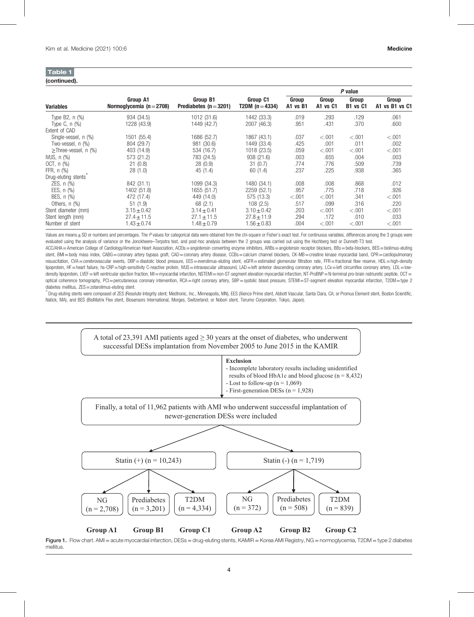| (continued).                                                |                                          |                                                |                                                |                         |                         |                          |                         |  |
|-------------------------------------------------------------|------------------------------------------|------------------------------------------------|------------------------------------------------|-------------------------|-------------------------|--------------------------|-------------------------|--|
|                                                             |                                          |                                                |                                                | P value                 |                         |                          |                         |  |
| <b>Variables</b>                                            | Group A1<br>Normoglycemia ( $n = 2708$ ) | Group B1<br>Prediabetes $(n=3201)$             | Group C1<br>T2DM $(n=4334)$                    | Group<br>A1 vs B1       | Group<br>A1 vs C1       | Group<br><b>B1 vs C1</b> | Group<br>A1 vs B1 vs C1 |  |
| Type B2, n (%)<br>Type C, $n$ $(\%)$<br>Extent of CAD       | 934 (34.5)<br>1228 (43.9)                | 1012 (31.6)<br>1449 (42.7)                     | 1442 (33.3)<br>2007 (46.3)                     | .019<br>.951            | .293<br>.431            | .129<br>.370             | .061<br>.600            |  |
| Single-vessel, n (%)<br>Two-vessel, n (%)                   | 1501 (55.4)<br>804 (29.7)                | 1686 (52.7)<br>981 (30.6)                      | 1867 (43.1)<br>1449 (33.4)                     | .037<br>.425            | < 0.001<br>.001         | < 0.001<br>.011          | < 0.001<br>.002         |  |
| $\geq$ Three-vessel, n (%)<br>IVUS, $n$ $%$                 | 403 (14.9)<br>573 (21.2)                 | 534 (16.7)<br>783 (24.5)                       | 1018 (23.5)<br>938(21.6)                       | .059<br>.003            | < 0.001<br>.655         | < 0.001<br>.004          | $-.001$<br>.003         |  |
| OCT, $n$ $%$<br>FFR, $n$ $%$                                | 21(0.8)<br>28(1.0)                       | 28(0.9)<br>45(1.4)                             | 31(0.7)<br>60(1.4)                             | .774<br>.237            | .776<br>.225            | .509<br>.938             | .739<br>.365            |  |
| Drug-eluting stents<br>ZES, $n$ $%$                         | 842 (31.1)                               | 1099 (34.3)                                    | 1480 (34.1)                                    | .008                    | .008                    | .868                     | .012                    |  |
| EES, $n$ $%$<br>BES, n (%)                                  | 1402 (51.8)<br>472 (17.4)<br>51(1.9)     | 1655 (51.7)<br>449 (14.0)                      | 2259(52.1)<br>575 (13.3)                       | .957<br>< 0.001<br>.517 | .775<br>< 0.001<br>.099 | .718<br>.341<br>.316     | .926<br>< 0.001<br>.220 |  |
| Others, $n$ $%$<br>Stent diameter (mm)<br>Stent length (mm) | $3.15 \pm 0.42$<br>$27.4 \pm 11.5$       | 68 (2.1)<br>$3.14 \pm 0.41$<br>$27.1 \pm 11.5$ | 108(2.5)<br>$3.10 \pm 0.42$<br>$27.8 \pm 11.9$ | .203<br>.294            | < 0.001<br>.172         | < 0.001<br>.010          | < 0.001<br>.033         |  |
| Number of stent                                             | $1.43 \pm 0.74$                          | $1.48 + 0.79$                                  | $1.56 \pm 0.83$                                | .004                    | < 0.001                 | < 0.001                  | < 0.001                 |  |

Values are means ±SD or numbers and percentages. The P values for categorical data were obtained from the chi-square or Fisher's exact test. For continuous variables, differences among the 3 groups were evaluated using the analysis of variance or the Jonckheere–Terpstra test, and post-hoc analysis between the 2 groups was carried out using the Hochberg test or Dunnett-T3 test.

ACC/AHA=American College of Cardiology/American Heart Association, ACEIs=angiotensin converting enzyme inhibitors, ARBs=angiotensin receptor blockers, BBs=beta-blockers, BES=biolimus-eluting stent, BMI=body mass index, CABG=coronary artery bypass graft, CAD=coronary artery disease, CCBs=calcium channel blockers, CK-MB=creatine kinase myocardial band, CPR=cardiopulmonary resuscitation, CVA=cerebrovascular events, DBP=diastolic blood pressure, EES=everolimus-eluting stent, eGFR=estimated glomerular filtration rate, FFR=fractional flow reserve, HDL=high-density lipoprotein, HF=heart failure, hs-CRP=high-sensitivity C-reactive protein, IVUS=intravascular ultrasound, LAD=left anterior descending coronary artery, LCx=left circumflex coronary artery, LDL=lowdensity lipoprotein, LVEF=left ventricular ejection fraction, MI=myocardial infarction, NSTEMI=non-ST-segment elevation myocardial infarction, NT-ProBNP=N-terminal pro-brain natriuretic peptide, OCT= optical coherence tomography, PCI=percutaneous coronary intervention, RCA=right coronary artery, SBP=systolic blood pressure, STEMI=ST-segment elevation myocardial infarction, T2DM=type 2 diabetes mellitus, ZES = zotarolimus-eluting stent.

Drug-eluting stents were composed of ZES (Resolute Integrity stent; Medtronic, Inc., Minneapolis, MN), EES (Xience Prime stent, Abbott Vascular, Santa Clara, CA; or Promus Element stent, Boston Scientific, Natick, MA), and BES (BioMatrix Flex stent, Biosensors International, Morges, Switzerland; or Nobori stent, Terumo Corporation, Tokyo, Japan).



Figure 1. Flow chart. AMI = acute myocardial infarction, DESs = drug-eluting stents, KAMIR = Korea AMI Registry, NG = normoglycemia, T2DM = type 2 diabetes mellitus.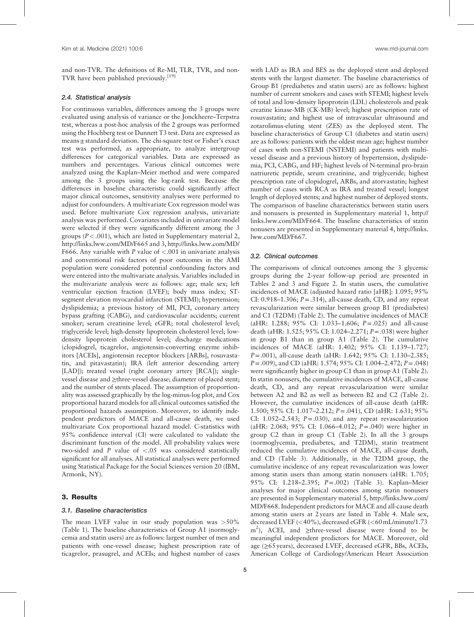and non-TVR. The definitions of Re-MI, TLR, TVR, and non-TVR have been published previously.<sup>[19]</sup>

# 2.4. Statistical analysis

For continuous variables, differences among the 3 groups were evaluated using analysis of variance or the Jonckheere–Terpstra test, whereas a post-hoc analysis of the 2 groups was performed using the Hochberg test or Dunnett T3 test. Data are expressed as means±standard deviation. The chi-square test or Fisher's exact test was performed, as appropriate, to analyze intergroup differences for categorical variables. Data are expressed as numbers and percentages. Various clinical outcomes were analyzed using the Kaplan–Meier method and were compared among the 3 groups using the log-rank test. Because the differences in baseline characteristic could significantly affect major clinical outcomes, sensitivity analyses were performed to adjust for confounders. A multivariate Cox regression model was used. Before multivariate Cox regression analysis, univariate analysis was performed. Covariates included in univariate model were selected if they were significantly different among the 3 groups ( $P < .001$ ), which are listed in Supplementary material 2, <http://links.lww.com/MD/F665> and 3, [http://links.lww.com/MD/](http://links.lww.com/MD/F666) [F666.](http://links.lww.com/MD/F666) Any variable with P value of  $\lt$  001 in univariate analysis and conventional risk factors of poor outcomes in the AMI population were considered potential confounding factors and were entered into the multivariate analysis. Variables included in the multivariate analysis were as follows: age; male sex; left ventricular ejection fraction (LVEF); body mass index; STsegment elevation myocardial infarction (STEMI); hypertension; dyslipidemia; a previous history of MI, PCI, coronary artery bypass grafting (CABG), and cardiovascular accidents; current smoker; serum creatinine level; eGFR; total cholesterol level; triglyceride level; high-density lipoprotein cholesterol level; lowdensity lipoprotein cholesterol level; discharge medications (clopidogrel, ticagrelor, angiotensin-converting enzyme inhibitors [ACEIs], angiotensin receptor blockers [ARBs], rosuvastatin, and pitavastatin); IRA (left anterior descending artery [LAD]); treated vessel (right coronary artery [RCA]); singlevessel disease and ≥three-vessel disease; diameter of placed stent; and the number of stents placed. The assumption of proportionality was assessed graphically by the log-minus-log plot, and Cox proportional hazard models for all clinical outcomes satisfied the proportional hazards assumption. Moreover, to identify independent predictors of MACE and all-cause death, we used multivariate Cox proportional hazard model. C-statistics with 95% confidence interval (CI) were calculated to validate the discriminant function of the model. All probability values were two-sided and  $P$  value of  $\lt$ .05 was considered statistically significant for all analyses. All statistical analyses were performed using Statistical Package for the Social Sciences version 20 (IBM, Armonk, NY).

#### 3. Results

#### 3.1. Baseline characteristics

The mean LVEF value in our study population was  $>50\%$ (Table 1). The baseline characteristics of Group A1 (normoglycemia and statin users) are as follows: largest number of men and patients with one-vessel disease; highest prescription rate of ticagrelor, prasugrel, and ACEIs; and highest number of cases

with LAD as IRA and BES as the deployed stent and deployed stents with the largest diameter. The baseline characteristics of Group B1 (prediabetes and statin users) are as follows: highest number of current smokers and cases with STEMI; highest levels of total and low-density lipoprotein (LDL) cholesterols and peak creatine kinase-MB (CK-MB) level; highest prescription rate of rosuvastatin; and highest use of intravascular ultrasound and zotarolimus-eluting stent (ZES) as the deployed stent. The baseline characteristics of Group C1 (diabetes and statin users) are as follows: patients with the oldest mean age; highest number of cases with non-STEMI (NSTEMI) and patients with multivessel disease and a previous history of hypertension, dyslipidemia, PCI, CABG, and HF; highest levels of N-terminal pro-brain natriuretic peptide, serum creatinine, and triglyceride; highest prescription rate of clopidogrel, ARBs, and atorvastatin; highest number of cases with RCA as IRA and treated vessel; longest length of deployed stents; and highest number of deployed stents. The comparison of baseline characteristics between statin users and nonusers is presented in Supplementary material 1, [http://](http://links.lww.com/MD/F664) [links.lww.com/MD/F664](http://links.lww.com/MD/F664). The baseline characteristics of statin nonusers are presented in Supplementary material 4, [http://links.](http://links.lww.com/MD/F667) [lww.com/MD/F667](http://links.lww.com/MD/F667).

#### 3.2. Clinical outcomes

The comparisons of clinical outcomes among the 3 glycemic groups during the 2-year follow-up period are presented in Tables 2 and 3 and Figure 2. In statin users, the cumulative incidences of MACE (adjusted hazard ratio [aHR]: 1.095; 95% CI:  $0.918-1.306$ ;  $P = .314$ ), all-cause death, CD, and any repeat revascularization were similar between group B1 (prediabetes) and C1 (T2DM) (Table 2). The cumulative incidences of MACE (aHR: 1.288; 95% CI: 1.033–1.606; P=.025) and all-cause death (aHR: 1.525; 95% CI: 1.024–2.271; P=.038) were higher in group B1 than in group A1 (Table 2). The cumulative incidences of MACE (aHR: 1.402; 95% CI: 1.139–1.727; P=.001), all-cause death (aHR: 1.642; 95% CI: 1.130–2.385;  $P = .009$ , and CD (aHR: 1.574; 95% CI: 1.004–2.472;  $P = .048$ ) were significantly higher in group C1 than in group A1 (Table 2). In statin nonusers, the cumulative incidences of MACE, all-cause death, CD, and any repeat revascularization were similar between A2 and B2 as well as between B2 and C2 (Table 2). However, the cumulative incidences of all-cause death (aHR: 1.500; 95% CI: 1.017–2.212; P=.041), CD (aHR: 1.631; 95% CI:  $1.052 - 2.543$ ;  $P = .030$ ), and any repeat revascularization (aHR: 2.068; 95% CI: 1.066–4.012; P=.040) were higher in group C2 than in group C1 (Table 2). In all the 3 groups (normoglycemia, prediabetes, and T2DM), statin treatment reduced the cumulative incidences of MACE, all-cause death, and CD (Table 3). Additionally, in the T2DM group, the cumulative incidence of any repeat revascularization was lower among statin users than among statin nonusers (aHR: 1.705; 95% CI: 1.218–2.395; P=.002) (Table 3). Kaplan–Meier analyses for major clinical outcomes among statin nonusers are presented in Supplementary material 5, [http://links.lww.com/](http://links.lww.com/MD/F668) [MD/F668](http://links.lww.com/MD/F668). Independent predictors for MACE and all-cause death among statin users at 2 years are listed in Table 4. Male sex, decreased LVEF (<40%), decreased eGFR (<60mL/minute/1.73 m<sup>2</sup>), ACEI, and  $\geq$ three-vessel disease were found to be meaningful independent predictors for MACE. Moreover, old age (≥65 years), decreased LVEF, decreased eGFR, BBs, ACEIs, American College of Cardiology/American Heart Association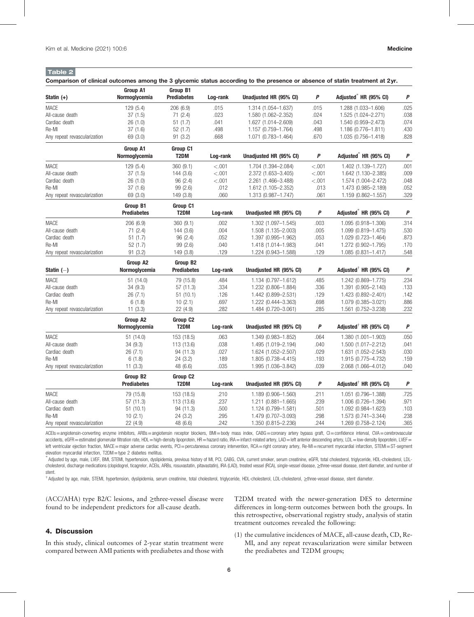$T = 1.12 \times 2.2$ 

| Statin $(+)$                 | Group A1<br>Normoglycemia      | Group B1<br><b>Prediabetes</b> | Log-rank | Unadjusted HR (95% CI) | P      | Adjusted <sup>®</sup> HR (95% CI) | $\pmb{P}$ |
|------------------------------|--------------------------------|--------------------------------|----------|------------------------|--------|-----------------------------------|-----------|
| <b>MACE</b>                  | 129 (5.4)                      | 206 (6.9)                      | .015     | 1.314 (1.054-1.637)    | .015   | 1.288 (1.033-1.606)               | .025      |
| All-cause death              | 37(1.5)                        | 71 (2.4)                       | .023     | 1.580 (1.062-2.352)    | .024   | 1.525 (1.024-2.271)               | .038      |
| Cardiac death                | 26(1.0)                        | 51(1.7)                        | .041     | 1.627 (1.014-2.609)    | .043   | 1.540 (0.959-2.473)               | .074      |
| Re-MI                        | 37(1.6)                        | 52(1.7)                        | .498     | 1.157 (0.759-1.764)    | .498   | 1.186 (0.776-1.811)               | .430      |
| Any repeat revascularization | 69 (3.0)                       | 91(3.2)                        | .668     | 1.071 (0.783-1.464)    | .670   | 1.035 (0.756-1.418)               | .828      |
|                              | Group A1<br>Normoglycemia      | Group C1<br>T2DM               | Log-rank | Unadjusted HR (95% CI) | P      | Adjusted <sup>®</sup> HR (95% CI) | $\pmb{P}$ |
| <b>MACE</b>                  | 129 (5.4)                      | 360 (9.1)                      | < .001   | 1.704 (1.394-2.084)    | < .001 | 1.402 (1.139-1.727)               | .001      |
| All-cause death              | 37(1.5)                        | 144 (3.6)                      | < .001   | 2.372 (1.653-3.405)    | < .001 | 1.642 (1.130-2.385)               | .009      |
| Cardiac death                | 26(1.0)                        | 96(2.4)                        | < .001   | 2.261 (1.466-3.488)    | < .001 | 1.574 (1.004-2.472)               | .048      |
| Re-MI                        | 37(1.6)                        | 99(2.6)                        | .012     | 1.612 (1.105-2.352)    | .013   | 1.473 (0.985-2.189)               | .052      |
| Any repeat revascularization | 69 (3.0)                       | 149 (3.8)                      | .060     | 1.313 (0.987-1.747)    | .061   | 1.159 (0.862-1.557)               | .329      |
|                              | Group B1<br><b>Prediabetes</b> | Group C1<br>T2DM               | Log-rank | Unadjusted HR (95% CI) | Ρ      | Adjusted <sup>*</sup> HR (95% CI) | P         |
| <b>MACE</b>                  | 206 (6.9)                      | 360(9.1)                       | .002     | 1.302 (1.097-1.545)    | .003   | 1.095 (0.918-1.306)               | .314      |
| All-cause death              | 71(2.4)                        | 144(3.6)                       | .004     | 1.508 (1.135-2.003)    | .005   | 1.099 (0.819-1.475)               | .530      |
| Cardiac death                | 51(1.7)                        | 96 (2.4)                       | .052     | 1.397 (0.995-1.962)    | .053   | 1.029 (0.723-1.464)               | .873      |
| Re-MI                        | 52 (1.7)                       | 99 (2.6)                       | .040     | 1.418 (1.014-1.983)    | .041   | 1.272 (0.902-1.795)               | .170      |
| Any repeat revascularization | 91(3.2)                        | 149 (3.8)                      | .129     | 1.224 (0.943-1.588)    | .129   | 1.085 (0.831-1.417)               | .548      |
| Statin $(-)$                 | Group A2<br>Normoglycemia      | Group B2<br><b>Prediabetes</b> | Log-rank | Unadjusted HR (95% CI) | P      | Adjusted <sup>†</sup> HR (95% CI) | P         |
| <b>MACE</b>                  | 51(14.0)                       | 79 (15.8)                      | .484     | 1.134 (0.797-1.612)    | .485   | 1.242 (0.869-1.775)               | .234      |
| All-cause death              | 34(9.3)                        | 57 (11.3)                      | .334     | 1.232 (0.806-1.884)    | .336   | 1.391 (0.905-2.140)               | .133      |
| Cardiac death                | 26(7.1)                        | 51(10.1)                       | .126     | 1.442 (0.899-2.531)    | .129   | 1.423 (0.892-2.401)               | .142      |
| Re-MI                        | 6(1.8)                         | 10(2.1)                        | .697     | 1.222 (0.444-3.363)    | .698   | 1.079 (0.385-3.021)               | .886      |
| Any repeat revascularization | 11(3.3)                        | 22 (4.9)                       | .282     | 1.484 (0.720-3.061)    | .285   | 1.561 (0.752-3.238)               | .232      |
|                              | Group A2<br>Normoglycemia      | Group C <sub>2</sub><br>T2DM   | Log-rank | Unadjusted HR (95% CI) | P      | Adjusted <sup>†</sup> HR (95% CI) | $\pmb{P}$ |
| <b>MACE</b>                  | 51(14.0)                       | 153 (18.5)                     | .063     | 1.349 (0.983-1.852)    | .064   | 1.380 (1.001-1.903)               | .050      |
| All-cause death              | 34(9.3)                        | 113 (13.6)                     | .038     | 1.495 (1.019-2.194)    | .040   | 1.500 (1.017-2.212)               | .041      |
| Cardiac death                | 26(7.1)                        | 94 (11.3)                      | .027     | 1.624 (1.052-2.507)    | .029   | 1.631 (1.052-2.543)               | .030      |
| Re-MI                        | 6(1.8)                         | 24(3.2)                        | .189     | 1.805 (0.738-4.415)    | .193   | 1.915 (0.775-4.732)               | .159      |
| Any repeat revascularization | 11(3.3)                        | 48 (6.6)                       | .035     | 1.995 (1.036-3.842)    | .039   | 2.068 (1.066-4.012)               | .040      |
|                              | Group B2<br><b>Prediabetes</b> | Group C <sub>2</sub><br>T2DM   | Log-rank | Unadjusted HR (95% CI) | P      | Adjusted <sup>†</sup> HR (95% CI) | P         |
| <b>MACE</b>                  | 79 (15.8)                      | 153 (18.5)                     | .210     | 1.189 (0.906-1.560)    | .211   | 1.051 (0.796-1.388)               | .725      |
| All-cause death              | 57 (11.3)                      | 113 (13.6)                     | .237     | $1.211(0.881 - 1.665)$ | .239   | 1.006 (0.726-1.394)               | .971      |
| Cardiac death                | 51(10.1)                       | 94 (11.3)                      | .500     | 1.124 (0.799-1.581)    | .501   | 1.092 (0.984-1.623)               | .103      |
| Re-MI                        | 10(2.1)                        | 24(3.2)                        | .295     | 1.479 (0.707-3.093)    | .298   | 1.573 (0.741-3.344)               | .238      |
| Any repeat revascularization | 22 (4.9)                       | 48 (6.6)                       | .242     | 1.350 (0.815-2.236)    | .244   | 1.269 (0.758-2.124)               | .365      |

ACEIs = angiotensin-converting enzyme inhibitors, ARBs = angiotensin receptor blockers, BMI = body mass index, CABG = coronary artery bypass graft, CI = confidence interval, CVA = cerebrovascular accidents, eGFR=estimated glomerular filtration rate, HDL=high-density lipoprotein, HR=hazard ratio, IRA=infarct-related artery, LAD=left anterior descending artery, LDL=low-density lipoprotein, LVEF= left ventricular ejection fraction, MACE=major adverse cardiac events, PCI=percutaneous coronary intervention, RCA=right coronary artery, Re-MI=recurrent myocardial infarction, STEMI=ST-segment elevation myocardial infarction, T2DM=type 2 diabetes mellitus.

Adjusted by age, male, LVEF, BMI, STEMI, hypertension, dyslipidemia, previous history of MI, PCI, CABG, CVA, current smoker, serum creatinine, eGFR, total cholesterol, triglyceride, HDL-cholesterol, LDLcholesterol, discharge medications (clopidogrel, ticagrelor, ACEIs, ARBs, rosuvastatin, pitavastatin), IRA (LAD), treated vessel (RCA), single-vessel disease, ≥three-vessel disease, stent diameter, and number of stent.

† Adjusted by age, male, STEMI, hypertension, dyslipidemia, serum creatinine, total cholesterol, triglyceride, HDL-cholesterol, LDL-cholesterol, ≥three-vessel disease, stent diameter.

(ACC/AHA) type B2/C lesions, and  $\geq$ three-vessel disease were found to be independent predictors for all-cause death.

# 4. Discussion

In this study, clinical outcomes of 2-year statin treatment were compared between AMI patients with prediabetes and those with

T2DM treated with the newer-generation DES to determine differences in long-term outcomes between both the groups. In this retrospective, observational registry study, analysis of statin treatment outcomes revealed the following:

(1) the cumulative incidences of MACE, all-cause death, CD, Re-MI, and any repeat revascularization were similar between the prediabetes and T2DM groups;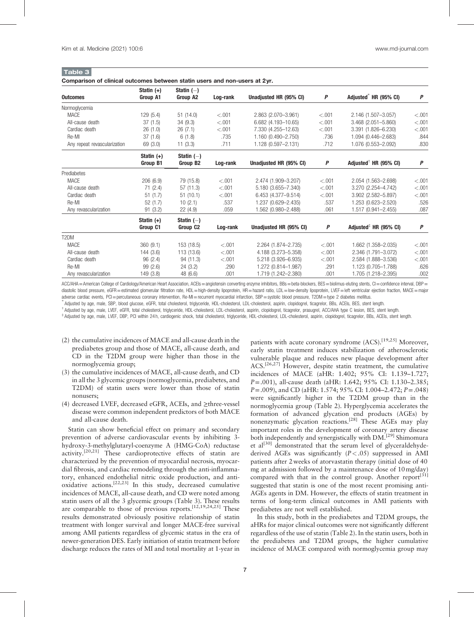Table 3

|                              | Statin $(+)$ | Statin $(-)$         |          |                        |         |                                   |         |
|------------------------------|--------------|----------------------|----------|------------------------|---------|-----------------------------------|---------|
| <b>Outcomes</b>              | Group A1     | Group A2             | Log-rank | Unadjusted HR (95% CI) | P       | Adjusted HR (95% CI)              | P       |
| Normoglycemia                |              |                      |          |                        |         |                                   |         |
| <b>MACE</b>                  | 129(5.4)     | 51(14.0)             | < 0.001  | 2.863 (2.070-3.961)    | < 0.001 | 2.146 (1.507-3.057)               | < 0.001 |
| All-cause death              | 37(1.5)      | 34(9.3)              | < .001   | 6.682 (4.193-10.65)    | < .001  | 3.468 (2.051-5.860)               | < .001  |
| Cardiac death                | 26(1.0)      | 26(7.1)              | < 0.001  | 7.330 (4.255-12.63)    | < 0.001 | 3.391 (1.826-6.230)               | < 0.001 |
| Re-MI                        | 37(1.6)      | 6(1.8)               | .735     | 1.160 (0.490-2.750)    | .736    | 1.094 (0.446-2.683)               | .844    |
| Any repeat revascularization | 69 (3.0)     | 11(3.3)              | .711     | 1.128 (0.597-2.131)    | .712    | 1.076 (0.553-2.092)               | .830    |
|                              | Statin $(+)$ | Statin $(-)$         |          |                        |         |                                   |         |
|                              | Group B1     | Group B2             | Log-rank | Unadjusted HR (95% CI) | P       | Adjusted <sup>†</sup> HR (95% CI) | P       |
| Prediabetes                  |              |                      |          |                        |         |                                   |         |
| <b>MACE</b>                  | 206(6.9)     | 79 (15.8)            | < 0.001  | 2.474 (1.909-3.207)    | < .001  | 2.054 (1.563-2.698)               | < 0.001 |
| All-cause death              | 71(2.4)      | 57 (11.3)            | $-.001$  | 5.180 (3.655-7.340)    | < 0.001 | 3.270 (2.254-4.742)               | < 0.001 |
| Cardiac death                | 51(1.7)      | 51(10.1)             | < 0.001  | 6.453 (4.377-9.514)    | < 0.001 | 3.902 (2.582-5.897)               | < 0.001 |
| Re-MI                        | 52(1.7)      | 10(2.1)              | .537     | 1.237 (0.629-2.435)    | .537    | 1.253 (0.623-2.520)               | .526    |
| Any revascularization        | 91(3.2)      | 22 (4.9)             | .059     | 1.562 (0.980-2.488)    | .061    | 1.517 (0.941-2.455)               | .087    |
|                              | Statin $(+)$ | Statin $(-)$         |          |                        |         |                                   |         |
|                              | Group C1     | Group C <sub>2</sub> | Log-rank | Unadiusted HR (95% CI) | P       | Adjusted $*$ HR (95% CI)          | P       |
| T <sub>2</sub> DM            |              |                      |          |                        |         |                                   |         |
| <b>MACE</b>                  | 360(9.1)     | 153 (18.5)           | < .001   | 2.264 (1.874-2.735)    | < 0.001 | 1.662 (1.358-2.035)               | < 0.001 |
| All-cause death              | 144(3.6)     | 113 (13.6)           | < 0.001  | 4.188 (3.273-5.358)    | < 0.001 | 2.346 (1.791-3.072)               | < 0.001 |
| Cardiac death                | 96(2.4)      | 94 (11.3)            | $-.001$  | 5.218 (3.926-6.935)    | $-.001$ | 2.584 (1.888-3.536)               | < 0.001 |
| Re-MI                        | 99(2.6)      | 24(3.2)              | .290     | 1.272 (0.814-1.987)    | .291    | 1.123 (0.705-1.788)               | .626    |
| Any revascularization        | 149 (3.8)    | 48 (6.6)             | .001     | 1.719 (1.242-2.380)    | .001    | 1.705 (1.218-2.395)               | .002    |

ACC/AHA=American College of Cardiology/American Heart Association, ACEIs=angiotensin converting enzyme inhibitors, BBs=beta-blockers, BES=biolimus-eluting stents, CI=confidence interval, DBP= diastolic blood pressure, eGFR=estimated glomerular filtration rate, HDL=high-density lipoprotein, HR=hazard ratio, LDL=low-density lipoprotein, LVEF=left ventricular ejection fraction, MACE=major adverse cardiac events, PCI=percutaneous coronary intervention, Re-MI=recurrent myocardial infarction, SBP=systolic blood pressure, T2DM=type 2 diabetes mellitus.

Adjusted by age, male, SBP, blood glucose, eGFR, total cholesterol, triglyceride, HDL-cholesterol, LDL-cholesterol, aspirin, clopidogrel, ticagrelor, BBs, ACEIs, BES, stent length.

† Adjusted by age, male, LVEF, eGFR, total cholesterol, triglyceride, HDL-cholesterol, LDL-cholesterol, aspirin, clopidogrel, ticagrelor, prasugrel, ACC/AHA type C lesion, BES, stent length.

‡ Adjusted by age, male, LVEF, DBP, PCI within 24 h, cardiogenic shock, total cholesterol, triglyceride, HDL-cholesterol, LDL-cholesterol, aspirin, clopidogrel, ticagrelor, BBs, ACEIs, stent length.

- (2) the cumulative incidences of MACE and all-cause death in the prediabetes group and those of MACE, all-cause death, and CD in the T2DM group were higher than those in the normoglycemia group;
- (3) the cumulative incidences of MACE, all-cause death, and CD in all the 3 glycemic groups (normoglycemia, prediabetes, and T2DM) of statin users were lower than those of statin nonusers;
- (4) decreased LVEF, decreased eGFR, ACEIs, and ≥three-vessel disease were common independent predictors of both MACE and all-cause death.

Statin can show beneficial effect on primary and secondary prevention of adverse cardiovascular events by inhibiting 3 hydroxy-3-methylglutaryl-coenzyme A (HMG-CoA) reductase activity.[20,21] These cardioprotective effects of statin are characterized by the prevention of myocardial necrosis, myocardial fibrosis, and cardiac remodeling through the anti-inflammatory, enhanced endothelial nitric oxide production, and antioxidative actions.[22,23] In this study, decreased cumulative incidences of MACE, all-cause death, and CD were noted among statin users of all the 3 glycemic groups (Table 3). These results are comparable to those of previous reports.<sup>[12,19,24,25]</sup> These results demonstrated obviously positive relationship of statin treatment with longer survival and longer MACE-free survival among AMI patients regardless of glycemic status in the era of newer-generation DES. Early initiation of statin treatment before discharge reduces the rates of MI and total mortality at 1-year in patients with acute coronary syndrome (ACS).<sup>[19,25]</sup> Moreover, early statin treatment induces stabilization of atherosclerotic vulnerable plaque and reduces new plaque development after ACS.<sup>[26,27]</sup> However, despite statin treatment, the cumulative incidences of MACE (aHR: 1.402; 95% CI: 1.139–1.727; P=.001), all-cause death (aHR: 1.642; 95% CI: 1.130–2.385;  $P = .009$ ), and CD (aHR: 1.574; 95% CI: 1.004–2.472;  $P = .048$ ) were significantly higher in the T2DM group than in the normoglycemia group (Table 2). Hyperglycemia accelerates the formation of advanced glycation end products (AGEs) by nonenzymatic glycation reactions.<sup>[28]</sup> These AGEs may play important roles in the development of coronary artery disease both independently and synergistically with DM.<sup>[29]</sup> Shimomura et al<sup>[30]</sup> demonstrated that the serum level of glyceraldehydederived AGEs was significantly  $(P < .05)$  suppressed in AMI patients after 2weeks of atorvastatin therapy (initial dose of 40 mg at admission followed by a maintenance dose of 10mg/day) compared with that in the control group. Another report<sup>[31]</sup> suggested that statin is one of the most recent promising anti-AGEs agents in DM. However, the effects of statin treatment in terms of long-term clinical outcomes in AMI patients with prediabetes are not well established.

In this study, both in the prediabetes and T2DM groups, the aHRs for major clinical outcomes were not significantly different regardless of the use of statin (Table 2). In the statin users, both in the prediabetes and T2DM groups, the higher cumulative incidence of MACE compared with normoglycemia group may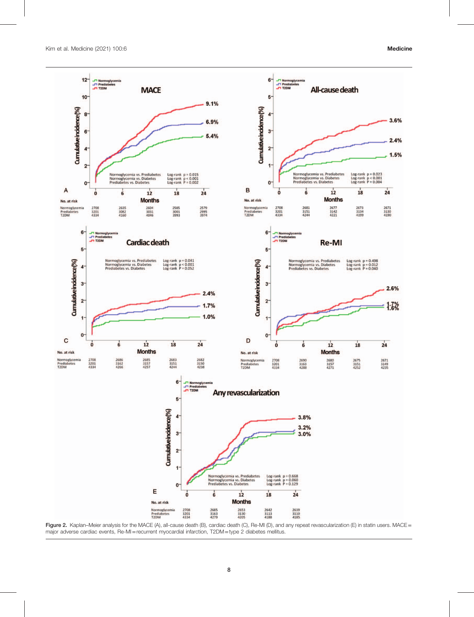

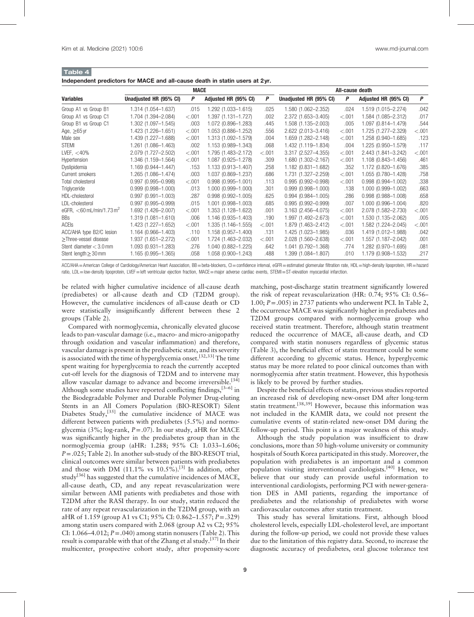| <b>Table 4</b>                                                              |  |
|-----------------------------------------------------------------------------|--|
| Independent predictors for MACE and all-cause death in statin users at 2yr. |  |

|                                         |                        | <b>MACE</b> | All-cause death           |         |                        |         |                        |         |
|-----------------------------------------|------------------------|-------------|---------------------------|---------|------------------------|---------|------------------------|---------|
| <b>Variables</b>                        | Unadjusted HR (95% CI) | P           | Adjusted HR (95% CI)      | P       | Unadjusted HR (95% CI) | P       | Adjusted HR (95% CI)   | P       |
| Group A1 vs Group B1                    | 1.314 (1.054-1.637)    | .015        | 1.292 (1.033-1.615)       | .025    | 1.580 (1.062-2.352)    | .024    | 1.519 (1.015-2.274)    | .042    |
| Group A1 vs Group C1                    | 1.704 (1.394-2.084)    | < 0.001     | 1.397 (1.131-1.727)       | .002    | 2.372 (1.653-3.405)    | < 0.001 | 1.584 (1.085-2.312)    | .017    |
| Group B1 vs Group C1                    | 1.302 (1.097-1.545)    | .003        | 1.072 (0.896-1.283)       | .445    | 1.508 (1.135-2.003)    | .005    | 1.097 (0.814-1.479)    | .544    |
| Age, $\geq 65$ yr                       | 1.423 (1.226-1.651)    | < 0.001     | 1.053 (0.886-1.252)       | .556    | 2.622 (2.013-3.416)    | < .001  | 1.725 (1.277-2.329)    | < 0.001 |
| Male sex                                | 1.439 (1.227-1.688)    | < 0.001     | 1.313 (1.092-1.579)       | .004    | 1.659 (1.282-2.148)    | < 0.001 | 1.258 (0.940-1.685)    | .123    |
| <b>STEMI</b>                            | 1.261 (1.086-1.463)    | .002        | 1.153 (0.989-1.343)       | .068    | 1.432 (1.119-1.834)    | .004    | 1.225 (0.950-1.579)    | .117    |
| LVEF, $<$ 40%                           | 2.079 (1.727-2.502)    | < 0.001     | 1.795 (1.483-2.172)       | < 0.001 | 3.317 (2.527-4.355)    | < .001  | 2.443 (1.841-3.242)    | < 0.001 |
| Hypertension                            | 1.346 (1.159-1.564)    | < 0.001     | 1.087 (0.925-1.278)       | .309    | 1.680 (1.302-2.167)    | < 0.001 | 1.108 (0.843-1.456)    | .461    |
| Dyslipidemia                            | 1.169 (0.944-1.447)    | .153        | 1.133 (0.913-1.407)       | .258    | 1.182 (0.831-1.682)    | .352    | 1.172 (0.820-1.676)    | .385    |
| Current smokers                         | 1.265 (1.086-1.474)    | .003        | 1.037 (0.869-1.237)       | .686    | 1.731 (1.327-2.259)    | < 0.001 | 1.055 (0.780-1.428)    | .758    |
| Total cholesterol                       | $0.997$ (0.995-0.998)  | < 0.001     | $0.998(0.995 - 1.001)$    | .113    | $0.995(0.992 - 0.998)$ | < .001  | $0.998(0.994 - 1.002)$ | .338    |
| Triglyceride                            | $0.999(0.998 - 1.000)$ | .013        | 1.000 (0.999-1.000)       | .301    | $0.999(0.998 - 1.000)$ | .138    | 1.000 (0.999-1.002)    | .663    |
| HDL-cholesterol                         | $0.997(0.991 - 1.003)$ | .287        | $0.998$ $(0.992 - 1.005)$ | .625    | $0.994(0.984 - 1.005)$ | .286    | $0.998(0.988 - 1.008)$ | .658    |
| LDL-cholesterol                         | $0.997(0.995 - 0.999)$ | .015        | 1.001 (0.998-1.003)       | .685    | $0.995(0.992 - 0.999)$ | .007    | 1.000 (0.996-1.004)    | .820    |
| eGFR, $<$ 60 mL/min/1.73 m <sup>2</sup> | 1.692 (1.426-2.007)    | < 0.001     | 1.353 (1.128-1.622)       | .001    | $3.163(2.456 - 4.075)$ | < 0.001 | 2.078 (1.582-2.730)    | < 0.001 |
| BBs                                     | 1.319 (1.081-1.610)    | .006        | 1.146 (0.935-1.403)       | .190    | 1.997 (1.492-2.673)    | < .001  | 1.530 (1.135-2.062)    | .005    |
| <b>ACEIS</b>                            | 1.423 (1.227-1.652)    | < 0.001     | 1.335 (1.146-1.555)       | < 0.001 | 1.879 (1.463-2.412)    | < .001  | 1.582 (1.224-2.045)    | < 0.001 |
| ACC/AHA type B2/C lesion                | 1.164 (0.966-1.403)    | .110        | 1.158 (0.957-1.400)       | .131    | 1.425 (1.023-1.985)    | .036    | 1.419 (1.012-1.988)    | .042    |
| >Three-vessel disease                   | 1.937 (1.651-2.272)    | < 0.001     | 1.724 (1.463-2.032)       | < 0.001 | 2.028 (1.560-2.638)    | < 0.001 | 1.557 (1.187-2.042)    | .001    |
| Stent diameter $<$ 3.0 mm               | 1.093 (0.931-1.283)    | .276        | 1.040 (0.882-1.225)       | .642    | 1.041 (0.792-1.368)    | .774    | 1.282 (0.970-1.695)    | .081    |
| Stent length $\geq$ 30 mm               | 1.165 (0.995-1.365)    | .058        | 1.058 (0.900-1.243)       | .488    | 1.399 (1.084-1.807)    | .010    | 1.179 (0.908-1.532)    | .217    |

ACC/AHA=American College of Cardiology/American Heart Association, BB=beta-blockers, CI=confidence interval, eGFR=estimated glomerular filtration rate, HDL=high-density lipoprotein, HR=hazard ratio, LDL=low-density lipoprotein, LVEF=left ventricular ejection fraction, MACE=major adverse cardiac events, STEMI=ST-elevation myocardial infarction.

be related with higher cumulative incidence of all-cause death (prediabetes) or all-cause death and CD (T2DM group). However, the cumulative incidences of all-cause death or CD were statistically insignificantly different between these 2 groups (Table 2).

Compared with normoglycemia, chronically elevated glucose leads to pan-vascular damage (i.e., macro- and micro-anigopathy through oxidation and vascular inflammation) and therefore, vascular damage is present in the prediabetic state, and its severity is associated with the time of hyperglycemia onset.<sup>[32,33]</sup> The time spent waiting for hyperglycemia to reach the currently accepted cut-off levels for the diagnosis of T2DM and to intervene may allow vascular damage to advance and become irreversible.<sup>[34]</sup> Although some studies have reported conflicting findings,  $[3-6]$  in the Biodegradable Polymer and Durable Polymer Drug-eluting Stents in an All Comers Population (BIO-RESORT) Silent Diabetes Study,<sup>[35]</sup> the cumulative incidence of MACE was different between patients with prediabetes (5.5%) and normoglycemia (3%; log-rank,  $P = .07$ ). In our study, aHR for MACE was significantly higher in the prediabetes group than in the normoglycemia group (aHR: 1.288; 95% CI: 1.033–1.606; P=.025; Table 2). In another sub-study of the BIO-RESOT trial, clinical outcomes were similar between patients with prediabetes and those with DM  $(11.1\%$  vs  $10.5\%$ ).<sup>[3]</sup> In addition, other study<sup>[36]</sup> has suggested that the cumulative incidences of MACE, all-cause death, CD, and any repeat revascularization were similar between AMI patients with prediabetes and those with T2DM after the RASI therapy. In our study, statin reduced the rate of any repeat revascularization in the T2DM group, with an aHR of 1.159 (group A1 vs C1; 95% CI: 0.862–1.557; P=.329) among statin users compared with 2.068 (group A2 vs C2; 95% CI:  $1.066-4.012$ ;  $P = .040$ ) among statin nonusers (Table 2). This result is comparable with that of the Zhang et al study.[37] In their multicenter, prospective cohort study, after propensity-score

matching, post-discharge statin treatment significantly lowered the risk of repeat revascularization (HR: 0.74; 95% CI: 0.56– 1.00;  $P = .005$ ) in 2737 patients who underwent PCI. In Table 2, the occurrence MACE was significantly higher in prediabetes and T2DM groups compared with normoglycemia group who received statin treatment. Therefore, although statin treatment reduced the occurrence of MACE, all-cause death, and CD compared with statin nonusers regardless of glycemic status (Table 3), the beneficial effect of statin treatment could be some different according to glycemic status. Hence, hyperglycemic status may be more related to poor clinical outcomes than with normoglycemia after statin treatment. However, this hypothesis is likely to be proved by further studies.

Despite the beneficial effects of statin, previous studies reported an increased risk of developing new-onset DM after long-term statin treatment.<sup>[38,39]</sup> However, because this information was not included in the KAMIR data, we could not present the cumulative events of statin-related new-onset DM during the follow-up period. This point is a major weakness of this study.

Although the study population was insufficient to draw conclusions, more than 50 high-volume university or community hospitals of South Korea participated in this study. Moreover, the population with prediabetes is an important and a common population visiting interventional cardiologists.<sup>[40]</sup> Hence, we believe that our study can provide useful information to interventional cardiologists, performing PCI with newer-generation DES in AMI patients, regarding the importance of prediabetes and the relationship of prediabetes with worse cardiovascular outcomes after statin treatment.

This study has several limitations. First, although blood cholesterol levels, especially LDL-cholesterol level, are important during the follow-up period, we could not provide these values due to the limitation of this registry data. Second, to increase the diagnostic accuracy of prediabetes, oral glucose tolerance test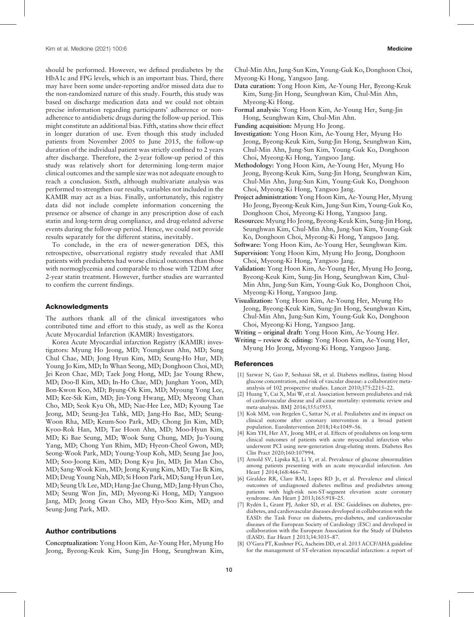should be performed. However, we defined prediabetes by the HbA1c and FPG levels, which is an important bias. Third, there may have been some under-reporting and/or missed data due to the non-randomized nature of this study. Fourth, this study was based on discharge medication data and we could not obtain precise information regarding participants' adherence or nonadherence to antidiabetic drugs during the follow-up period. This might constitute an additional bias. Fifth, statins show their effect in longer duration of use. Even though this study included patients from November 2005 to June 2015, the follow-up duration of the individual patient was strictly confined to 2 years after discharge. Therefore, the 2-year follow-up period of this study was relatively short for determining long-term major clinical outcomes and the sample size was not adequate enough to reach a conclusion. Sixth, although multivariate analysis was performed to strengthen our results, variables not included in the KAMIR may act as a bias. Finally, unfortunately, this registry data did not include complete information concerning the presence or absence of change in any prescription dose of each statin and long-term drug compliance, and drug-related adverse events during the follow-up period. Hence, we could not provide results separately for the different statins, inevitably.

To conclude, in the era of newer-generation DES, this retrospective, observational registry study revealed that AMI patients with prediabetes had worse clinical outcomes than those with normoglycemia and comparable to those with T2DM after 2-year statin treatment. However, further studies are warranted to confirm the current findings.

# Acknowledgments

The authors thank all of the clinical investigators who contributed time and effort to this study, as well as the Korea Acute Myocardial Infarction (KAMIR) Investigators.

Korea Acute Myocardial infarction Registry (KAMIR) investigators: Myung Ho Jeong, MD; Youngkeun Ahn, MD; Sung Chul Chae, MD; Jong Hyun Kim, MD; Seung-Ho Hur, MD; Young Jo Kim, MD; In Whan Seong, MD; Donghoon Choi, MD; Jei Keon Chae, MD; Taek Jong Hong, MD; Jae Young Rhew, MD; Doo-Il Kim, MD; In-Ho Chae, MD; Junghan Yoon, MD; Bon-Kwon Koo, MD; Byung-Ok Kim, MD; Myoung Yong Lee, MD; Kee-Sik Kim, MD; Jin-Yong Hwang, MD; Myeong Chan Cho, MD; Seok Kyu Oh, MD; Nae-Hee Lee, MD; Kyoung Tae Jeong, MD; Seung-Jea Tahk, MD; Jang-Ho Bae, MD; Seung-Woon Rha, MD; Keum-Soo Park, MD; Chong Jin Kim, MD; Kyoo-Rok Han, MD; Tae Hoon Ahn, MD; Moo-Hyun Kim, MD; Ki Bae Seung, MD; Wook Sung Chung, MD; Ju-Young Yang, MD; Chong Yun Rhim, MD; Hyeon-Cheol Gwon, MD; Seong-Wook Park, MD; Young-Youp Koh, MD; Seung Jae Joo, MD; Soo-Joong Kim, MD; Dong Kyu Jin, MD; Jin Man Cho, MD; Sang-Wook Kim, MD; Jeong Kyung Kim, MD; Tae Ik Kim, MD; Deug Young Nah, MD; Si Hoon Park, MD; Sang Hyun Lee, MD; Seung Uk Lee, MD; Hang-Jae Chung, MD; Jang-Hyun Cho, MD; Seung Won Jin, MD; Myeong-Ki Hong, MD; Yangsoo Jang, MD; Jeong Gwan Cho, MD; Hyo-Soo Kim, MD; and Seung-Jung Park, MD.

# Author contributions

Conceptualization: Yong Hoon Kim, Ae-Young Her, Myung Ho Jeong, Byeong-Keuk Kim, Sung-Jin Hong, Seunghwan Kim, Chul-Min Ahn, Jung-Sun Kim, Young-Guk Ko, Donghoon Choi, Myeong-Ki Hong, Yangsoo Jang.

Data curation: Yong Hoon Kim, Ae-Young Her, Byeong-Keuk Kim, Sung-Jin Hong, Seunghwan Kim, Chul-Min Ahn, Myeong-Ki Hong.

Formal analysis: Yong Hoon Kim, Ae-Young Her, Sung-Jin Hong, Seunghwan Kim, Chul-Min Ahn.

Funding acquisition: Myung Ho Jeong.

Investigation: Yong Hoon Kim, Ae-Young Her, Myung Ho Jeong, Byeong-Keuk Kim, Sung-Jin Hong, Seunghwan Kim, Chul-Min Ahn, Jung-Sun Kim, Young-Guk Ko, Donghoon Choi, Myeong-Ki Hong, Yangsoo Jang.

Methodology: Yong Hoon Kim, Ae-Young Her, Myung Ho Jeong, Byeong-Keuk Kim, Sung-Jin Hong, Seunghwan Kim, Chul-Min Ahn, Jung-Sun Kim, Young-Guk Ko, Donghoon Choi, Myeong-Ki Hong, Yangsoo Jang.

- Project administration: Yong Hoon Kim, Ae-Young Her, Myung Ho Jeong, Byeong-Keuk Kim, Jung-Sun Kim, Young-Guk Ko, Donghoon Choi, Myeong-Ki Hong, Yangsoo Jang.
- Resources: Myung Ho Jeong, Byeong-Keuk Kim, Sung-Jin Hong, Seunghwan Kim, Chul-Min Ahn, Jung-Sun Kim, Young-Guk Ko, Donghoon Choi, Myeong-Ki Hong, Yangsoo Jang.

Software: Yong Hoon Kim, Ae-Young Her, Seunghwan Kim.

- Supervision: Yong Hoon Kim, Myung Ho Jeong, Donghoon Choi, Myeong-Ki Hong, Yangsoo Jang.
- Validation: Yong Hoon Kim, Ae-Young Her, Myung Ho Jeong, Byeong-Keuk Kim, Sung-Jin Hong, Seunghwan Kim, Chul-Min Ahn, Jung-Sun Kim, Young-Guk Ko, Donghoon Choi, Myeong-Ki Hong, Yangsoo Jang.
- Visualization: Yong Hoon Kim, Ae-Young Her, Myung Ho Jeong, Byeong-Keuk Kim, Sung-Jin Hong, Seunghwan Kim, Chul-Min Ahn, Jung-Sun Kim, Young-Guk Ko, Donghoon Choi, Myeong-Ki Hong, Yangsoo Jang.

Writing – original draft: Yong Hoon Kim, Ae-Young Her.

Writing – review & editing: Yong Hoon Kim, Ae-Young Her, Myung Ho Jeong, Myeong-Ki Hong, Yangsoo Jang.

# **References**

- [1] Sarwar N, Gao P, Seshasai SR, et al. Diabetes mellitus, fasting blood glucose concentration, and risk of vascular disease: a collaborative metaanalysis of 102 prospective studies. Lancet 2010;375:2215–22.
- [2] Huang Y, Cai X, Mai W, et al. Association between prediabetes and risk of cardiovascular disease and all cause mortality: systematic review and meta-analysis. BMJ 2016;355:i5953.
- [3] Kok MM, von Birgelen C, Sattar N, et al. Prediabetes and its impact on clinical outcome after coronary intervention in a broad patient population. EuroIntervention 2018;14:e1049–56.
- [4] Kim YH, Her AY, Jeong MH, et al. Effects of prediabetes on long-term clinical outcomes of patients with acute myocardial infarction who underwent PCI using new-generation drug-eluting stents. Diabetes Res Clin Pract 2020;160:107994.
- [5] Arnold SV, Lipska KJ, Li Y, et al. Prevalence of glucose abnormalities among patients presenting with an acute myocardial infarction. Am Heart J 2014;168:466–70.
- [6] Giraldez RR, Clare RM, Lopes RD Jr, et al. Prevalence and clinical outcomes of undiagnosed diabetes mellitus and prediabetes among patients with high-risk non-ST-segment elevation acute coronary syndrome. Am Heart I 2013;165:918-25.
- [7] Rydén L, Grant PJ, Anker SD, et al. ESC Guidelines on diabetes, prediabetes, and cardiovascular diseases developed in collaboration with the EASD: the Task Force on diabetes, pre-diabetes, and cardiovascular diseases of the European Society of Cardiology (ESC) and developed in collaboration with the European Association for the Study of Diabetes (EASD). Eur Heart J 2013;34:3035–87.
- [8] O'Gara PT, Kushner FG, Ascheim DD, et al. 2013 ACCF/AHA guideline for the management of ST-elevation myocardial infarction: a report of